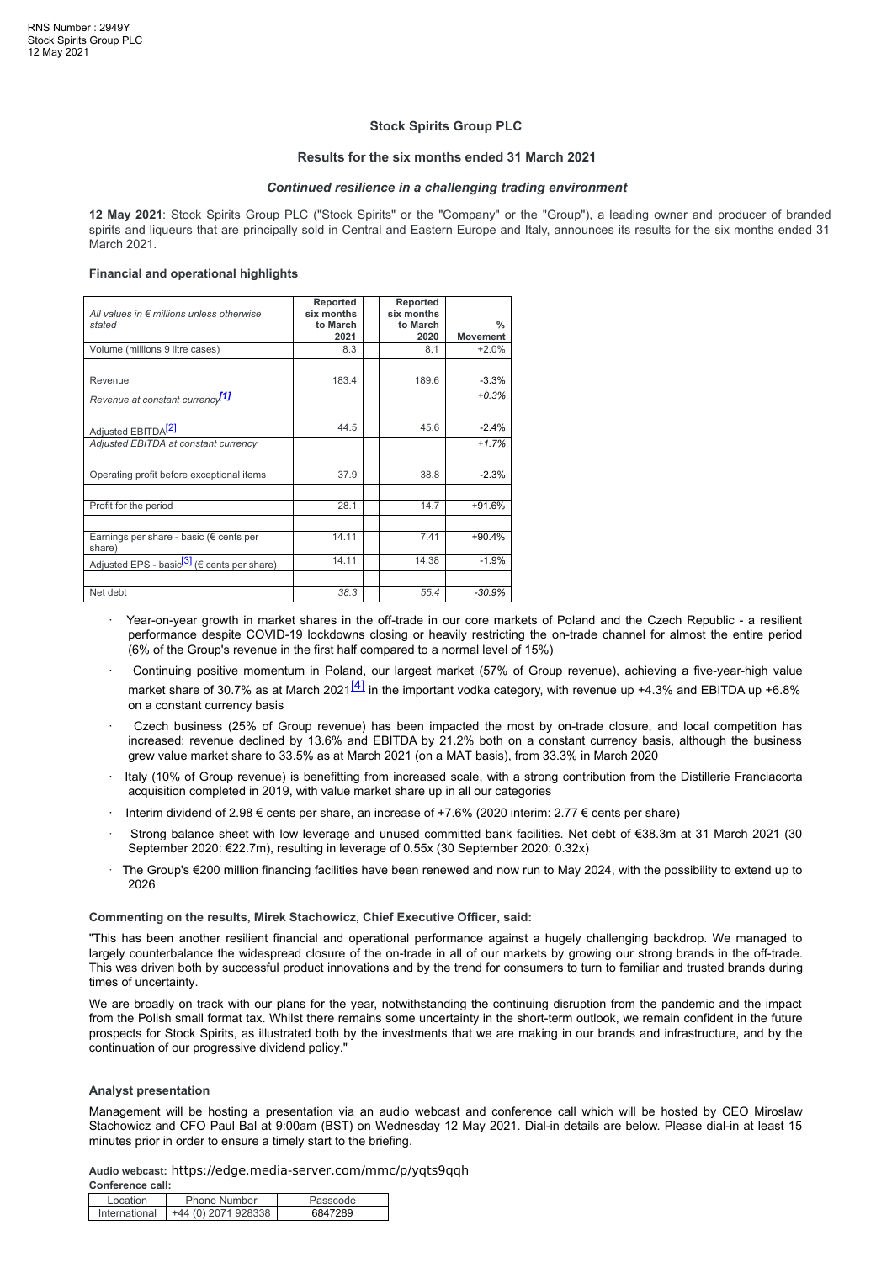#### **Stock Spirits Group PLC**

#### **Results for the six months ended 31 March 2021**

#### *Continued resilience in a challenging trading environment*

**12 May 2021**: Stock Spirits Group PLC ("Stock Spirits" or the "Company" or the "Group"), a leading owner and producer of branded spirits and liqueurs that are principally sold in Central and Eastern Europe and Italy, announces its results for the six months ended 31 March 2021.

#### **Financial and operational highlights**

| All values in $\epsilon$ millions unless otherwise<br>stated      | Reported<br>six months<br>to March<br>2021 | Reported<br>six months<br>to March<br>2020 | $\frac{0}{0}$<br><b>Movement</b> |
|-------------------------------------------------------------------|--------------------------------------------|--------------------------------------------|----------------------------------|
| Volume (millions 9 litre cases)                                   | 8.3                                        | 8.1                                        | $+2.0%$                          |
|                                                                   |                                            |                                            |                                  |
| Revenue                                                           | 183.4                                      | 189.6                                      | $-3.3%$                          |
| Revenue at constant currency <sup>11</sup>                        |                                            |                                            | $+0.3%$                          |
|                                                                   |                                            |                                            |                                  |
| Adjusted EBITDA <sup>[2]</sup>                                    | 44.5                                       | 45.6                                       | $-2.4%$                          |
| Adjusted EBITDA at constant currency                              |                                            |                                            | $+1.7%$                          |
|                                                                   |                                            |                                            |                                  |
| Operating profit before exceptional items                         | 37.9                                       | 38.8                                       | $-2.3%$                          |
|                                                                   |                                            |                                            |                                  |
| Profit for the period                                             | 28.1                                       | 14.7                                       | $+91.6%$                         |
|                                                                   |                                            |                                            |                                  |
| Earnings per share - basic (€ cents per<br>share)                 | 14.11                                      | 7.41                                       | $+90.4%$                         |
| Adjusted EPS - basio <sup>[3]</sup> ( $\epsilon$ cents per share) | 14.11                                      | 14.38                                      | $-1.9%$                          |
|                                                                   |                                            |                                            |                                  |
| Net debt                                                          | 38.3                                       | 55.4                                       | $-30.9%$                         |

- · Year-on-year growth in market shares in the off-trade in our core markets of Poland and the Czech Republic a resilient performance despite COVID-19 lockdowns closing or heavily restricting the on-trade channel for almost the entire period (6% of the Group's revenue in the first half compared to a normal level of 15%)
- · Continuing positive momentum in Poland, our largest market (57% of Group revenue), achieving a five-year-high value market share of 30.7% as at March 2021<sup>[4]</sup> in the important vodka category, with revenue up +4.3% and EBITDA up +6.8% on a constant currency basis
- Czech business (25% of Group revenue) has been impacted the most by on-trade closure, and local competition has increased: revenue declined by 13.6% and EBITDA by 21.2% both on a constant currency basis, although the business grew value market share to 33.5% as at March 2021 (on a MAT basis), from 33.3% in March 2020
- · Italy (10% of Group revenue) is benefitting from increased scale, with a strong contribution from the Distillerie Franciacorta acquisition completed in 2019, with value market share up in all our categories
- · Interim dividend of 2.98 € cents per share, an increase of +7.6% (2020 interim: 2.77 € cents per share)
- · Strong balance sheet with low leverage and unused committed bank facilities. Net debt of €38.3m at 31 March 2021 (30 September 2020: €22.7m), resulting in leverage of 0.55x (30 September 2020: 0.32x)
- · The Group's €200 million financing facilities have been renewed and now run to May 2024, with the possibility to extend up to 2026

#### **Commenting on the results, Mirek Stachowicz, Chief Executive Officer, said:**

"This has been another resilient financial and operational performance against a hugely challenging backdrop. We managed to largely counterbalance the widespread closure of the on-trade in all of our markets by growing our strong brands in the off-trade. This was driven both by successful product innovations and by the trend for consumers to turn to familiar and trusted brands during times of uncertainty.

We are broadly on track with our plans for the year, notwithstanding the continuing disruption from the pandemic and the impact from the Polish small format tax. Whilst there remains some uncertainty in the short-term outlook, we remain confident in the future prospects for Stock Spirits, as illustrated both by the investments that we are making in our brands and infrastructure, and by the continuation of our progressive dividend policy."

#### **Analyst presentation**

Management will be hosting a presentation via an audio webcast and conference call which will be hosted by CEO Miroslaw Stachowicz and CFO Paul Bal at 9:00am (BST) on Wednesday 12 May 2021. Dial-in details are below. Please dial-in at least 15 minutes prior in order to ensure a timely start to the briefing.

**Audio webcast:** https://edge.media-server.com/mmc/p/yqts9qqh **Conference call:**

| Location | <b>Phone Number</b>                | Passcode |
|----------|------------------------------------|----------|
|          | International $+44(0)$ 2071 928338 | 6847289  |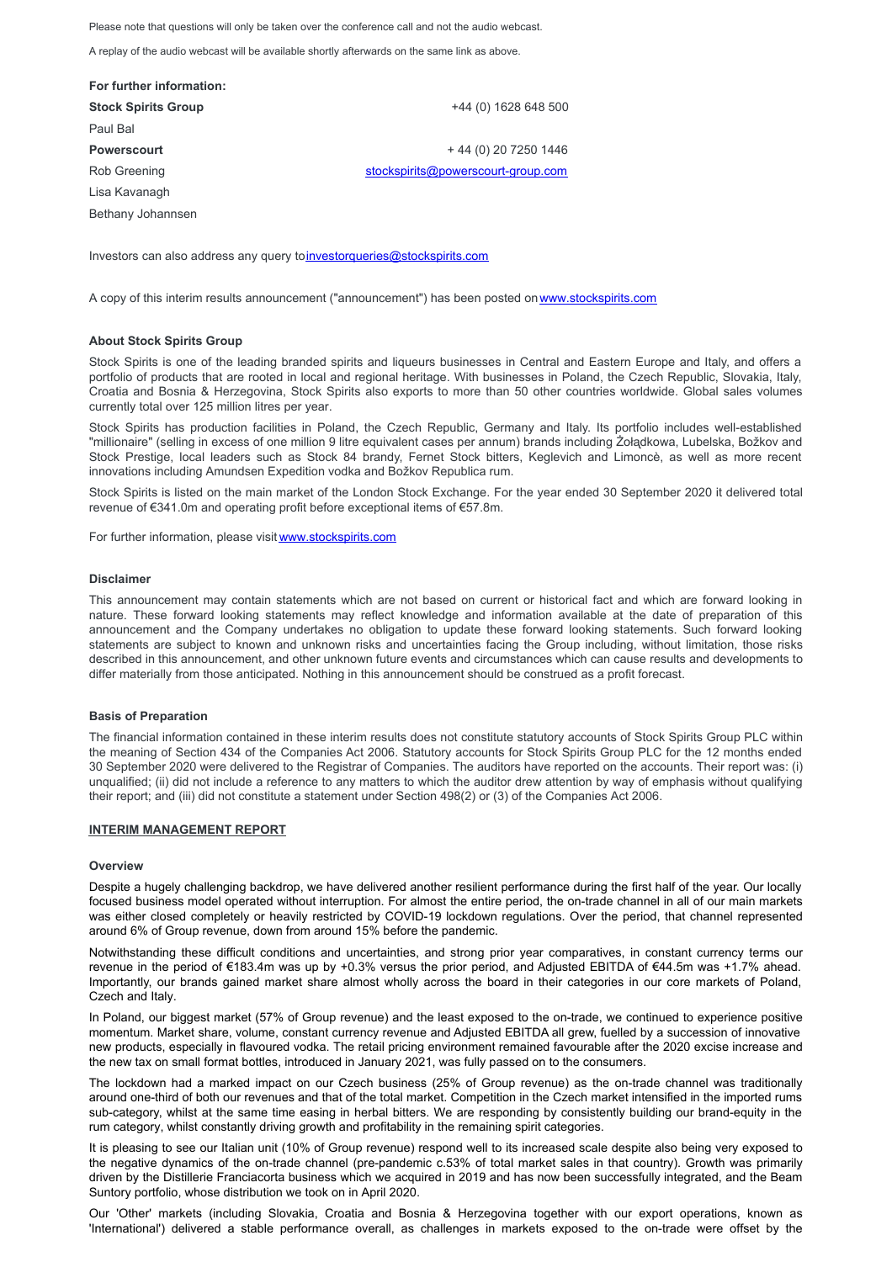Please note that questions will only be taken over the conference call and not the audio webcast.

A replay of the audio webcast will be available shortly afterwards on the same link as above.

| For further information:   |                                    |
|----------------------------|------------------------------------|
| <b>Stock Spirits Group</b> | +44 (0) 1628 648 500               |
| Paul Bal                   |                                    |
| <b>Powerscourt</b>         | + 44 (0) 20 7250 1446              |
| Rob Greening               | stockspirits@powerscourt-group.com |
| Lisa Kavanagh              |                                    |
|                            |                                    |

Bethany Johannsen

Investors can also address any query t[oinvestorqueries@stockspirits.com](mailto:investorqueries@stockspirits.com)

A copy of this interim results announcement ("announcement") has been posted on[www.stockspirits.com](http://www.stockspirits.com)

#### **About Stock Spirits Group**

Stock Spirits is one of the leading branded spirits and liqueurs businesses in Central and Eastern Europe and Italy, and offers a portfolio of products that are rooted in local and regional heritage. With businesses in Poland, the Czech Republic, Slovakia, Italy, Croatia and Bosnia & Herzegovina, Stock Spirits also exports to more than 50 other countries worldwide. Global sales volumes currently total over 125 million litres per year.

Stock Spirits has production facilities in Poland, the Czech Republic, Germany and Italy. Its portfolio includes well-established "millionaire" (selling in excess of one million 9 litre equivalent cases per annum) brands including Żoładkowa, Lubelska, Božkov and Stock Prestige, local leaders such as Stock 84 brandy, Fernet Stock bitters, Keglevich and Limoncè, as well as more recent innovations including Amundsen Expedition vodka and Božkov Republica rum.

Stock Spirits is listed on the main market of the London Stock Exchange. For the year ended 30 September 2020 it delivered total revenue of €341.0m and operating profit before exceptional items of €57.8m.

For further information, please visit [www.stockspirits.com](http://www.stockspirits.com)

#### **Disclaimer**

This announcement may contain statements which are not based on current or historical fact and which are forward looking in nature. These forward looking statements may reflect knowledge and information available at the date of preparation of this announcement and the Company undertakes no obligation to update these forward looking statements. Such forward looking statements are subject to known and unknown risks and uncertainties facing the Group including, without limitation, those risks described in this announcement, and other unknown future events and circumstances which can cause results and developments to differ materially from those anticipated. Nothing in this announcement should be construed as a profit forecast.

#### **Basis of Preparation**

The financial information contained in these interim results does not constitute statutory accounts of Stock Spirits Group PLC within the meaning of Section 434 of the Companies Act 2006. Statutory accounts for Stock Spirits Group PLC for the 12 months ended 30 September 2020 were delivered to the Registrar of Companies. The auditors have reported on the accounts. Their report was: (i) unqualified; (ii) did not include a reference to any matters to which the auditor drew attention by way of emphasis without qualifying their report; and (iii) did not constitute a statement under Section 498(2) or (3) of the Companies Act 2006.

#### **INTERIM MANAGEMENT REPORT**

#### **Overview**

Despite a hugely challenging backdrop, we have delivered another resilient performance during the first half of the year. Our locally focused business model operated without interruption. For almost the entire period, the on-trade channel in all of our main markets was either closed completely or heavily restricted by COVID-19 lockdown regulations. Over the period, that channel represented around 6% of Group revenue, down from around 15% before the pandemic.

Notwithstanding these difficult conditions and uncertainties, and strong prior year comparatives, in constant currency terms our revenue in the period of €183.4m was up by +0.3% versus the prior period, and Adjusted EBITDA of €44.5m was +1.7% ahead. Importantly, our brands gained market share almost wholly across the board in their categories in our core markets of Poland, Czech and Italy.

In Poland, our biggest market (57% of Group revenue) and the least exposed to the on-trade, we continued to experience positive momentum. Market share, volume, constant currency revenue and Adjusted EBITDA all grew, fuelled by a succession of innovative new products, especially in flavoured vodka. The retail pricing environment remained favourable after the 2020 excise increase and the new tax on small format bottles, introduced in January 2021, was fully passed on to the consumers.

The lockdown had a marked impact on our Czech business (25% of Group revenue) as the on-trade channel was traditionally around one-third of both our revenues and that of the total market. Competition in the Czech market intensified in the imported rums sub-category, whilst at the same time easing in herbal bitters. We are responding by consistently building our brand-equity in the rum category, whilst constantly driving growth and profitability in the remaining spirit categories.

It is pleasing to see our Italian unit (10% of Group revenue) respond well to its increased scale despite also being very exposed to the negative dynamics of the on-trade channel (pre-pandemic c.53% of total market sales in that country). Growth was primarily driven by the Distillerie Franciacorta business which we acquired in 2019 and has now been successfully integrated, and the Beam Suntory portfolio, whose distribution we took on in April 2020.

Our 'Other' markets (including Slovakia, Croatia and Bosnia & Herzegovina together with our export operations, known as 'International') delivered a stable performance overall, as challenges in markets exposed to the on-trade were offset by the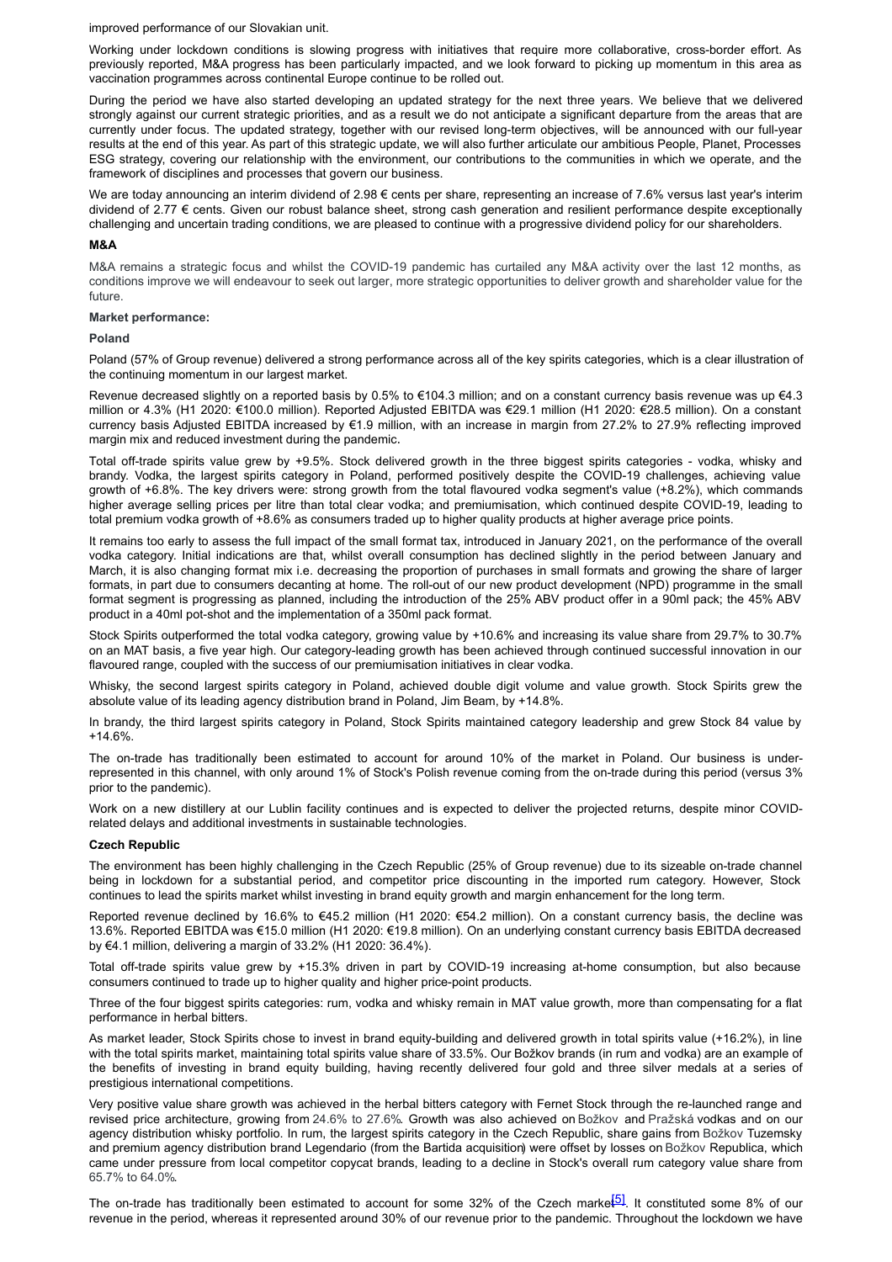improved performance of our Slovakian unit.

Working under lockdown conditions is slowing progress with initiatives that require more collaborative, cross-border effort. As previously reported, M&A progress has been particularly impacted, and we look forward to picking up momentum in this area as vaccination programmes across continental Europe continue to be rolled out.

During the period we have also started developing an updated strategy for the next three years. We believe that we delivered strongly against our current strategic priorities, and as a result we do not anticipate a significant departure from the areas that are currently under focus. The updated strategy, together with our revised long-term objectives, will be announced with our full-year results at the end of this year. As part of this strategic update, we will also further articulate our ambitious People, Planet, Processes ESG strategy, covering our relationship with the environment, our contributions to the communities in which we operate, and the framework of disciplines and processes that govern our business.

We are today announcing an interim dividend of  $2.98 \in \text{cents}$  per share, representing an increase of 7.6% versus last year's interim dividend of 2.77 € cents. Given our robust balance sheet, strong cash generation and resilient performance despite exceptionally challenging and uncertain trading conditions, we are pleased to continue with a progressive dividend policy for our shareholders.

#### **M&A**

M&A remains a strategic focus and whilst the COVID-19 pandemic has curtailed any M&A activity over the last 12 months, as conditions improve we will endeavour to seek out larger, more strategic opportunities to deliver growth and shareholder value for the future.

#### **Market performance:**

#### **Poland**

Poland (57% of Group revenue) delivered a strong performance across all of the key spirits categories, which is a clear illustration of the continuing momentum in our largest market.

Revenue decreased slightly on a reported basis by 0.5% to €104.3 million; and on a constant currency basis revenue was up €4.3 million or 4.3% (H1 2020: €100.0 million). Reported Adjusted EBITDA was €29.1 million (H1 2020: €28.5 million). On a constant currency basis Adjusted EBITDA increased by €1.9 million, with an increase in margin from 27.2% to 27.9% reflecting improved margin mix and reduced investment during the pandemic.

Total off-trade spirits value grew by +9.5%. Stock delivered growth in the three biggest spirits categories - vodka, whisky and brandy. Vodka, the largest spirits category in Poland, performed positively despite the COVID-19 challenges, achieving value growth of +6.8%. The key drivers were: strong growth from the total flavoured vodka segment's value (+8.2%), which commands higher average selling prices per litre than total clear vodka; and premiumisation, which continued despite COVID-19, leading to total premium vodka growth of +8.6% as consumers traded up to higher quality products at higher average price points.

It remains too early to assess the full impact of the small format tax, introduced in January 2021, on the performance of the overall vodka category. Initial indications are that, whilst overall consumption has declined slightly in the period between January and March, it is also changing format mix i.e. decreasing the proportion of purchases in small formats and growing the share of larger formats, in part due to consumers decanting at home. The roll-out of our new product development (NPD) programme in the small format segment is progressing as planned, including the introduction of the 25% ABV product offer in a 90ml pack; the 45% ABV product in a 40ml pot-shot and the implementation of a 350ml pack format.

Stock Spirits outperformed the total vodka category, growing value by +10.6% and increasing its value share from 29.7% to 30.7% on an MAT basis, a five year high. Our category-leading growth has been achieved through continued successful innovation in our flavoured range, coupled with the success of our premiumisation initiatives in clear vodka.

Whisky, the second largest spirits category in Poland, achieved double digit volume and value growth. Stock Spirits grew the absolute value of its leading agency distribution brand in Poland, Jim Beam, by +14.8%.

In brandy, the third largest spirits category in Poland, Stock Spirits maintained category leadership and grew Stock 84 value by +14.6%.

The on-trade has traditionally been estimated to account for around 10% of the market in Poland. Our business is underrepresented in this channel, with only around 1% of Stock's Polish revenue coming from the on-trade during this period (versus 3% prior to the pandemic).

Work on a new distillery at our Lublin facility continues and is expected to deliver the projected returns, despite minor COVIDrelated delays and additional investments in sustainable technologies.

#### **Czech Republic**

The environment has been highly challenging in the Czech Republic (25% of Group revenue) due to its sizeable on-trade channel being in lockdown for a substantial period, and competitor price discounting in the imported rum category. However, Stock continues to lead the spirits market whilst investing in brand equity growth and margin enhancement for the long term.

Reported revenue declined by 16.6% to €45.2 million (H1 2020: €54.2 million). On a constant currency basis, the decline was 13.6%. Reported EBITDA was €15.0 million (H1 2020: €19.8 million). On an underlying constant currency basis EBITDA decreased by €4.1 million, delivering a margin of 33.2% (H1 2020: 36.4%).

Total off-trade spirits value grew by +15.3% driven in part by COVID-19 increasing at-home consumption, but also because consumers continued to trade up to higher quality and higher price-point products.

Three of the four biggest spirits categories: rum, vodka and whisky remain in MAT value growth, more than compensating for a flat performance in herbal bitters.

As market leader, Stock Spirits chose to invest in brand equity-building and delivered growth in total spirits value (+16.2%), in line with the total spirits market, maintaining total spirits value share of 33.5%. Our Božkov brands (in rum and vodka) are an example of the benefits of investing in brand equity building, having recently delivered four gold and three silver medals at a series of prestigious international competitions.

Very positive value share growth was achieved in the herbal bitters category with Fernet Stock through the re-launched range and revised price architecture, growing from 24.6% to 27.6%. Growth was also achieved on Božkov and Pražská vodkas and on our agency distribution whisky portfolio. In rum, the largest spirits category in the Czech Republic, share gains from Božkov Tuzemsky and premium agency distribution brand Legendario (from the Bartida acquisition) were offset by losses on Božkov Republica, which came under pressure from local competitor copycat brands, leading to a decline in Stock's overall rum category value share from 65.7% to 64.0%.

The on-trade has traditionally been estimated to account for some 32% of the Czech marke $\overline{51}$ . It constituted some 8% of our revenue in the period, whereas it represented around 30% of our revenue prior to the pandemic. Throughout the lockdown we have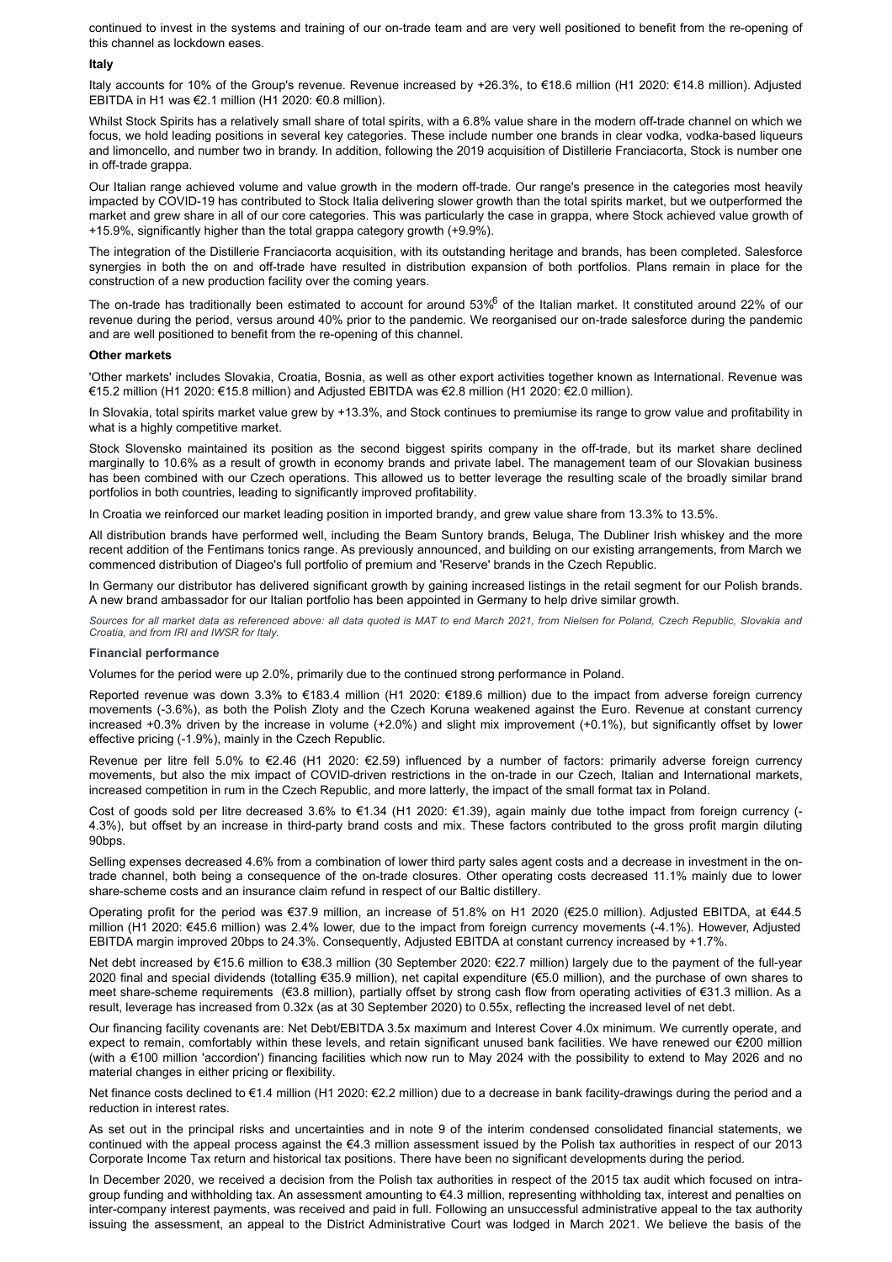continued to invest in the systems and training of our on-trade team and are very well positioned to benefit from the re-opening of this channel as lockdown eases.

#### **Italy**

Italy accounts for 10% of the Group's revenue. Revenue increased by +26.3%, to €18.6 million (H1 2020: €14.8 million). Adjusted EBITDA in H1 was €2.1 million (H1 2020: €0.8 million).

Whilst Stock Spirits has a relatively small share of total spirits, with a 6.8% value share in the modern off-trade channel on which we focus, we hold leading positions in several key categories. These include number one brands in clear vodka, vodka-based liqueurs and limoncello, and number two in brandy. In addition, following the 2019 acquisition of Distillerie Franciacorta, Stock is number one in off-trade grappa.

Our Italian range achieved volume and value growth in the modern off-trade. Our range's presence in the categories most heavily impacted by COVID-19 has contributed to Stock Italia delivering slower growth than the total spirits market, but we outperformed the market and grew share in all of our core categories. This was particularly the case in grappa, where Stock achieved value growth of +15.9%, significantly higher than the total grappa category growth (+9.9%).

The integration of the Distillerie Franciacorta acquisition, with its outstanding heritage and brands, has been completed. Salesforce synergies in both the on and off-trade have resulted in distribution expansion of both portfolios. Plans remain in place for the construction of a new production facility over the coming years.

The on-trade has traditionally been estimated to account for around 53% of the Italian market. It constituted around 22% of our revenue during the period, versus around 40% prior to the pandemic. We reorganised our on-trade salesforce during the pandemic and are well positioned to benefit from the re-opening of this channel.

#### **Other markets**

'Other markets' includes Slovakia, Croatia, Bosnia, as well as other export activities together known as International. Revenue was €15.2 million (H1 2020: €15.8 million) and Adjusted EBITDA was €2.8 million (H1 2020: €2.0 million).

In Slovakia, total spirits market value grew by +13.3%, and Stock continues to premiumise its range to grow value and profitability in what is a highly competitive market.

Stock Slovensko maintained its position as the second biggest spirits company in the off-trade, but its market share declined marginally to 10.6% as a result of growth in economy brands and private label. The management team of our Slovakian business has been combined with our Czech operations. This allowed us to better leverage the resulting scale of the broadly similar brand portfolios in both countries, leading to significantly improved profitability.

In Croatia we reinforced our market leading position in imported brandy, and grew value share from 13.3% to 13.5%.

All distribution brands have performed well, including the Beam Suntory brands, Beluga, The Dubliner Irish whiskey and the more recent addition of the Fentimans tonics range. As previously announced, and building on our existing arrangements, from March we commenced distribution of Diageo's full portfolio of premium and 'Reserve' brands in the Czech Republic.

In Germany our distributor has delivered significant growth by gaining increased listings in the retail segment for our Polish brands. A new brand ambassador for our Italian portfolio has been appointed in Germany to help drive similar growth.

Sources for all market data as referenced above: all data quoted is MAT to end March 2021, from Nielsen for Poland, Czech Republic, Slovakia and *Croatia, and from IRI and IWSR for Italy.*

#### **Financial performance**

Volumes for the period were up 2.0%, primarily due to the continued strong performance in Poland.

Reported revenue was down 3.3% to €183.4 million (H1 2020: €189.6 million) due to the impact from adverse foreign currency movements (-3.6%), as both the Polish Zloty and the Czech Koruna weakened against the Euro. Revenue at constant currency increased +0.3% driven by the increase in volume (+2.0%) and slight mix improvement (+0.1%), but significantly offset by lower effective pricing (-1.9%), mainly in the Czech Republic.

Revenue per litre fell 5.0% to €2.46 (H1 2020: €2.59) influenced by a number of factors: primarily adverse foreign currency movements, but also the mix impact of COVID-driven restrictions in the on-trade in our Czech, Italian and International markets, increased competition in rum in the Czech Republic, and more latterly, the impact of the small format tax in Poland.

Cost of goods sold per litre decreased 3.6% to €1.34 (H1 2020: €1.39), again mainly due tothe impact from foreign currency (- 4.3%), but offset by an increase in third-party brand costs and mix. These factors contributed to the gross profit margin diluting 90bps.

Selling expenses decreased 4.6% from a combination of lower third party sales agent costs and a decrease in investment in the ontrade channel, both being a consequence of the on-trade closures. Other operating costs decreased 11.1% mainly due to lower share-scheme costs and an insurance claim refund in respect of our Baltic distillery.

Operating profit for the period was €37.9 million, an increase of 51.8% on H1 2020 (€25.0 million). Adjusted EBITDA, at €44.5 million (H1 2020: €45.6 million) was 2.4% lower, due to the impact from foreign currency movements (-4.1%). However, Adjusted EBITDA margin improved 20bps to 24.3%. Consequently, Adjusted EBITDA at constant currency increased by +1.7%.

Net debt increased by €15.6 million to €38.3 million (30 September 2020: €22.7 million) largely due to the payment of the full-year 2020 final and special dividends (totalling €35.9 million), net capital expenditure (€5.0 million), and the purchase of own shares to meet share-scheme requirements (€3.8 million), partially offset by strong cash flow from operating activities of €31.3 million. As a result, leverage has increased from 0.32x (as at 30 September 2020) to 0.55x, reflecting the increased level of net debt.

Our financing facility covenants are: Net Debt/EBITDA 3.5x maximum and Interest Cover 4.0x minimum. We currently operate, and expect to remain, comfortably within these levels, and retain significant unused bank facilities. We have renewed our €200 million (with a €100 million 'accordion') financing facilities which now run to May 2024 with the possibility to extend to May 2026 and no material changes in either pricing or flexibility.

Net finance costs declined to €1.4 million (H1 2020: €2.2 million) due to a decrease in bank facility-drawings during the period and a reduction in interest rates.

As set out in the principal risks and uncertainties and in note 9 of the interim condensed consolidated financial statements, we continued with the appeal process against the €4.3 million assessment issued by the Polish tax authorities in respect of our 2013 Corporate Income Tax return and historical tax positions. There have been no significant developments during the period.

In December 2020, we received a decision from the Polish tax authorities in respect of the 2015 tax audit which focused on intragroup funding and withholding tax. An assessment amounting to €4.3 million, representing withholding tax, interest and penalties on inter-company interest payments, was received and paid in full. Following an unsuccessful administrative appeal to the tax authority issuing the assessment, an appeal to the District Administrative Court was lodged in March 2021. We believe the basis of the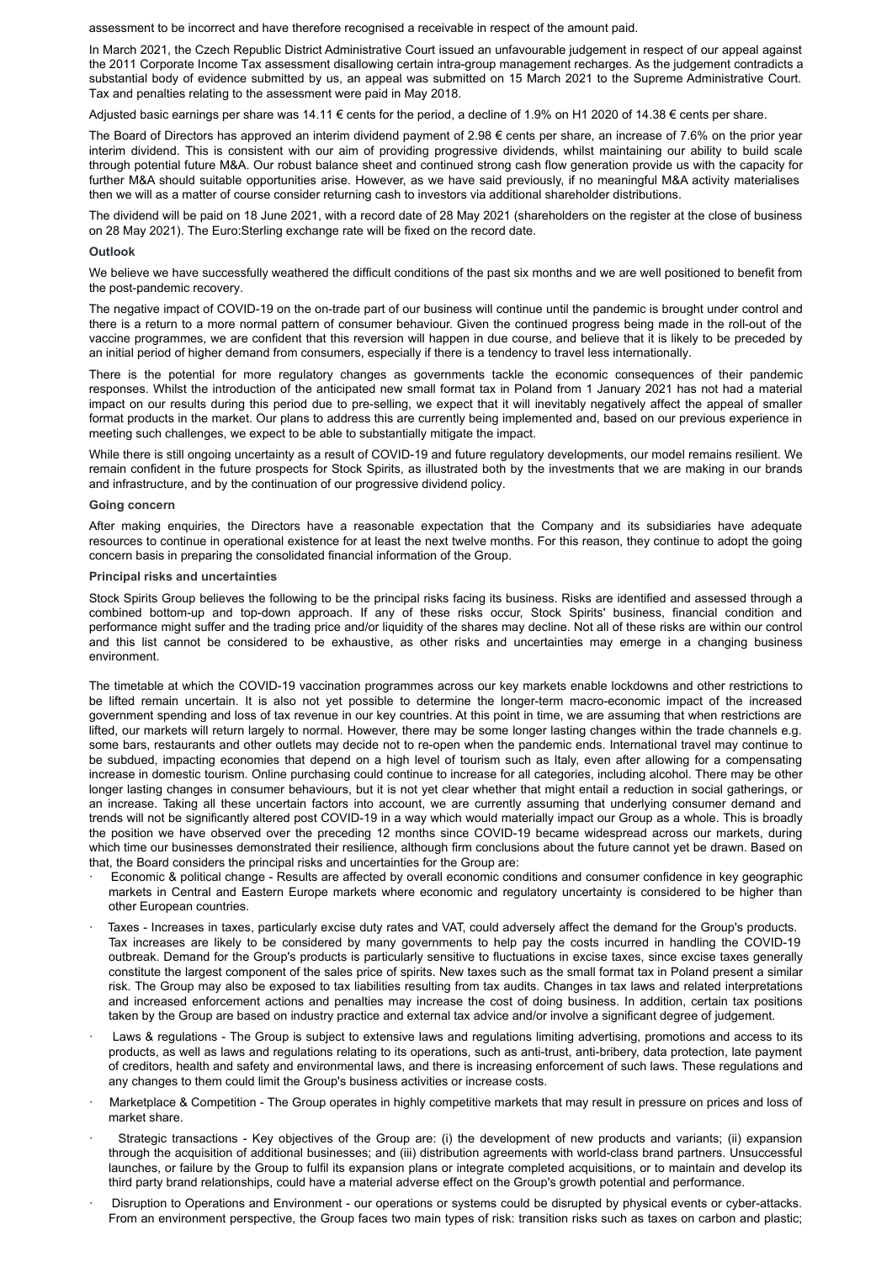assessment to be incorrect and have therefore recognised a receivable in respect of the amount paid.

In March 2021, the Czech Republic District Administrative Court issued an unfavourable judgement in respect of our appeal against the 2011 Corporate Income Tax assessment disallowing certain intra-group management recharges. As the judgement contradicts a substantial body of evidence submitted by us, an appeal was submitted on 15 March 2021 to the Supreme Administrative Court. Tax and penalties relating to the assessment were paid in May 2018.

Adjusted basic earnings per share was 14.11 € cents for the period, a decline of 1.9% on H1 2020 of 14.38 € cents per share.

The Board of Directors has approved an interim dividend payment of 2.98 € cents per share, an increase of 7.6% on the prior year interim dividend. This is consistent with our aim of providing progressive dividends, whilst maintaining our ability to build scale through potential future M&A. Our robust balance sheet and continued strong cash flow generation provide us with the capacity for further M&A should suitable opportunities arise. However, as we have said previously, if no meaningful M&A activity materialises then we will as a matter of course consider returning cash to investors via additional shareholder distributions.

The dividend will be paid on 18 June 2021, with a record date of 28 May 2021 (shareholders on the register at the close of business on 28 May 2021). The Euro:Sterling exchange rate will be fixed on the record date.

#### **Outlook**

We believe we have successfully weathered the difficult conditions of the past six months and we are well positioned to benefit from the post-pandemic recovery.

The negative impact of COVID-19 on the on-trade part of our business will continue until the pandemic is brought under control and there is a return to a more normal pattern of consumer behaviour. Given the continued progress being made in the roll-out of the vaccine programmes, we are confident that this reversion will happen in due course, and believe that it is likely to be preceded by an initial period of higher demand from consumers, especially if there is a tendency to travel less internationally.

There is the potential for more regulatory changes as governments tackle the economic consequences of their pandemic responses. Whilst the introduction of the anticipated new small format tax in Poland from 1 January 2021 has not had a material impact on our results during this period due to pre-selling, we expect that it will inevitably negatively affect the appeal of smaller format products in the market. Our plans to address this are currently being implemented and, based on our previous experience in meeting such challenges, we expect to be able to substantially mitigate the impact.

While there is still ongoing uncertainty as a result of COVID-19 and future regulatory developments, our model remains resilient. We remain confident in the future prospects for Stock Spirits, as illustrated both by the investments that we are making in our brands and infrastructure, and by the continuation of our progressive dividend policy.

#### **Going concern**

After making enquiries, the Directors have a reasonable expectation that the Company and its subsidiaries have adequate resources to continue in operational existence for at least the next twelve months. For this reason, they continue to adopt the going concern basis in preparing the consolidated financial information of the Group.

#### **Principal risks and uncertainties**

Stock Spirits Group believes the following to be the principal risks facing its business. Risks are identified and assessed through a combined bottom-up and top-down approach. If any of these risks occur, Stock Spirits' business, financial condition and performance might suffer and the trading price and/or liquidity of the shares may decline. Not all of these risks are within our control and this list cannot be considered to be exhaustive, as other risks and uncertainties may emerge in a changing business environment.

The timetable at which the COVID-19 vaccination programmes across our key markets enable lockdowns and other restrictions to be lifted remain uncertain. It is also not yet possible to determine the longer-term macro-economic impact of the increased government spending and loss of tax revenue in our key countries. At this point in time, we are assuming that when restrictions are lifted, our markets will return largely to normal. However, there may be some longer lasting changes within the trade channels e.g. some bars, restaurants and other outlets may decide not to re-open when the pandemic ends. International travel may continue to be subdued, impacting economies that depend on a high level of tourism such as Italy, even after allowing for a compensating increase in domestic tourism. Online purchasing could continue to increase for all categories, including alcohol. There may be other longer lasting changes in consumer behaviours, but it is not yet clear whether that might entail a reduction in social gatherings, or an increase. Taking all these uncertain factors into account, we are currently assuming that underlying consumer demand and trends will not be significantly altered post COVID-19 in a way which would materially impact our Group as a whole. This is broadly the position we have observed over the preceding 12 months since COVID-19 became widespread across our markets, during which time our businesses demonstrated their resilience, although firm conclusions about the future cannot yet be drawn. Based on that, the Board considers the principal risks and uncertainties for the Group are:

- · Economic & political change Results are affected by overall economic conditions and consumer confidence in key geographic markets in Central and Eastern Europe markets where economic and regulatory uncertainty is considered to be higher than other European countries.
- Taxes Increases in taxes, particularly excise duty rates and VAT, could adversely affect the demand for the Group's products. Tax increases are likely to be considered by many governments to help pay the costs incurred in handling the COVID-19 outbreak. Demand for the Group's products is particularly sensitive to fluctuations in excise taxes, since excise taxes generally constitute the largest component of the sales price of spirits. New taxes such as the small format tax in Poland present a similar risk. The Group may also be exposed to tax liabilities resulting from tax audits. Changes in tax laws and related interpretations and increased enforcement actions and penalties may increase the cost of doing business. In addition, certain tax positions taken by the Group are based on industry practice and external tax advice and/or involve a significant degree of judgement.
- Laws & regulations The Group is subject to extensive laws and regulations limiting advertising, promotions and access to its products, as well as laws and regulations relating to its operations, such as anti-trust, anti-bribery, data protection, late payment of creditors, health and safety and environmental laws, and there is increasing enforcement of such laws. These regulations and any changes to them could limit the Group's business activities or increase costs.
- · Marketplace & Competition The Group operates in highly competitive markets that may result in pressure on prices and loss of market share.
- Strategic transactions Key objectives of the Group are: (i) the development of new products and variants; (ii) expansion through the acquisition of additional businesses; and (iii) distribution agreements with world-class brand partners. Unsuccessful launches, or failure by the Group to fulfil its expansion plans or integrate completed acquisitions, or to maintain and develop its third party brand relationships, could have a material adverse effect on the Group's growth potential and performance.
- Disruption to Operations and Environment our operations or systems could be disrupted by physical events or cyber-attacks. From an environment perspective, the Group faces two main types of risk: transition risks such as taxes on carbon and plastic;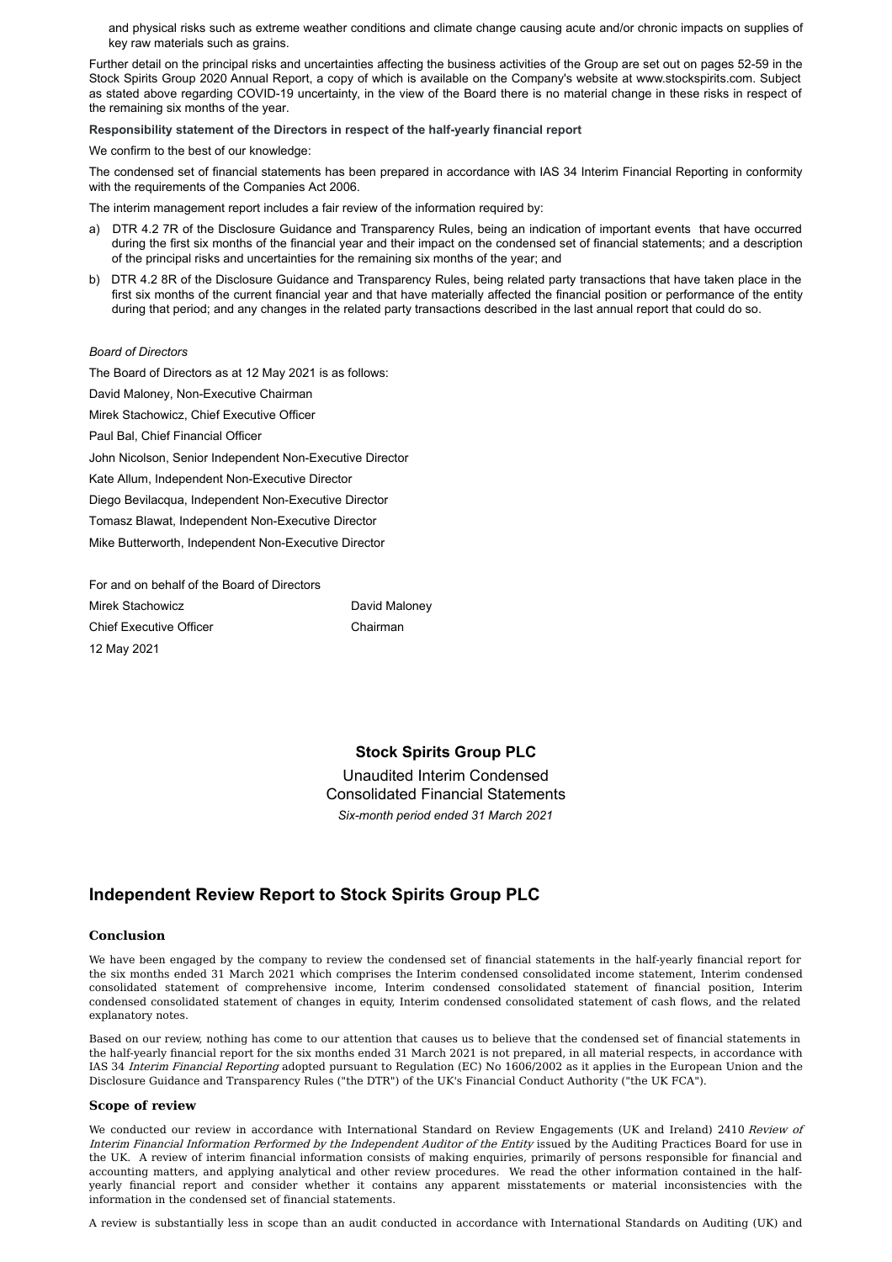and physical risks such as extreme weather conditions and climate change causing acute and/or chronic impacts on supplies of key raw materials such as grains.

Further detail on the principal risks and uncertainties affecting the business activities of the Group are set out on pages 52-59 in the Stock Spirits Group 2020 Annual Report, a copy of which is available on the Company's website at www.stockspirits.com. Subject as stated above regarding COVID-19 uncertainty, in the view of the Board there is no material change in these risks in respect of the remaining six months of the year.

**Responsibility statement of the Directors in respect of the half-yearly financial report**

We confirm to the best of our knowledge:

The condensed set of financial statements has been prepared in accordance with IAS 34 Interim Financial Reporting in conformity with the requirements of the Companies Act 2006.

The interim management report includes a fair review of the information required by:

- a) DTR 4.2 7R of the Disclosure Guidance and Transparency Rules, being an indication of important events that have occurred during the first six months of the financial year and their impact on the condensed set of financial statements; and a description of the principal risks and uncertainties for the remaining six months of the year; and
- b) DTR 4.2 8R of the Disclosure Guidance and Transparency Rules, being related party transactions that have taken place in the first six months of the current financial year and that have materially affected the financial position or performance of the entity during that period; and any changes in the related party transactions described in the last annual report that could do so.

#### *Board of Directors*

The Board of Directors as at 12 May 2021 is as follows: David Maloney, Non-Executive Chairman Mirek Stachowicz, Chief Executive Officer Paul Bal, Chief Financial Officer John Nicolson, Senior Independent Non-Executive Director Kate Allum, Independent Non-Executive Director Diego Bevilacqua, Independent Non-Executive Director Tomasz Blawat, Independent Non-Executive Director Mike Butterworth, Independent Non-Executive Director

For and on behalf of the Board of Directors Mirek Stachowicz Chief Executive Officer 12 May 2021

Chairman

David Maloney

### **Stock Spirits Group PLC**

Unaudited Interim Condensed Consolidated Financial Statements *Six-month period ended 31 March 2021*

## **Independent Review Report to Stock Spirits Group PLC**

#### **Conclusion**

We have been engaged by the company to review the condensed set of financial statements in the half-yearly financial report for the six months ended 31 March 2021 which comprises the Interim condensed consolidated income statement, Interim condensed consolidated statement of comprehensive income, Interim condensed consolidated statement of financial position, Interim condensed consolidated statement of changes in equity, Interim condensed consolidated statement of cash flows, and the related explanatory notes.

Based on our review, nothing has come to our attention that causes us to believe that the condensed set of financial statements in the half-yearly financial report for the six months ended 31 March 2021 is not prepared, in all material respects, in accordance with IAS 34 Interim Financial Reporting adopted pursuant to Regulation (EC) No 1606/2002 as it applies in the European Union and the Disclosure Guidance and Transparency Rules ("the DTR") of the UK's Financial Conduct Authority ("the UK FCA").

#### **Scope of review**

We conducted our review in accordance with International Standard on Review Engagements (UK and Ireland) 2410 Review of Interim Financial Information Performed by the Independent Auditor of the Entity issued by the Auditing Practices Board for use in the UK. A review of interim financial information consists of making enquiries, primarily of persons responsible for financial and accounting matters, and applying analytical and other review procedures. We read the other information contained in the halfyearly financial report and consider whether it contains any apparent misstatements or material inconsistencies with the information in the condensed set of financial statements.

A review is substantially less in scope than an audit conducted in accordance with International Standards on Auditing (UK) and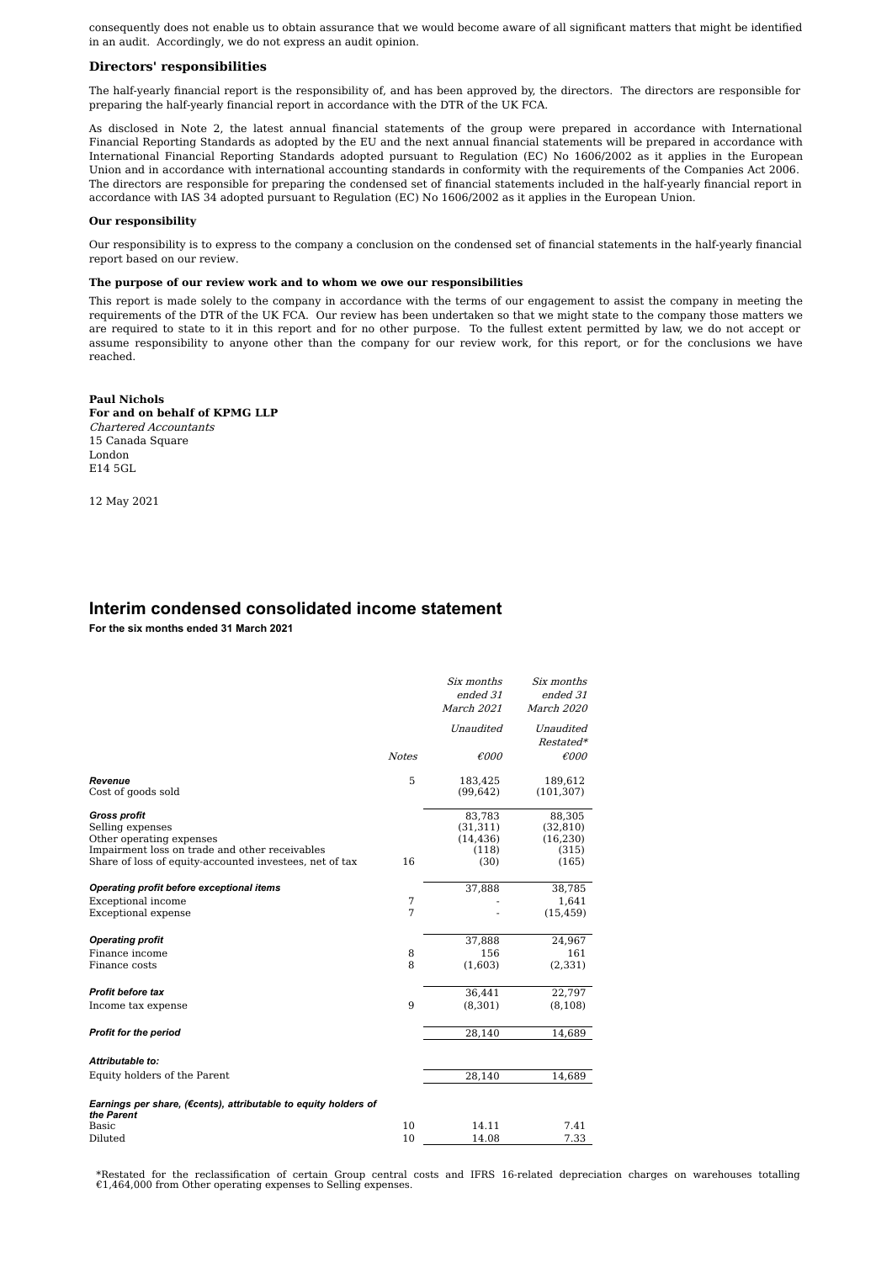consequently does not enable us to obtain assurance that we would become aware of all significant matters that might be identified in an audit. Accordingly, we do not express an audit opinion.

#### **Directors' responsibilities**

The half-yearly financial report is the responsibility of, and has been approved by, the directors. The directors are responsible for preparing the half-yearly financial report in accordance with the DTR of the UK FCA.

As disclosed in Note 2, the latest annual financial statements of the group were prepared in accordance with International Financial Reporting Standards as adopted by the EU and the next annual financial statements will be prepared in accordance with International Financial Reporting Standards adopted pursuant to Regulation (EC) No 1606/2002 as it applies in the European Union and in accordance with international accounting standards in conformity with the requirements of the Companies Act 2006. The directors are responsible for preparing the condensed set of financial statements included in the half-yearly financial report in accordance with IAS 34 adopted pursuant to Regulation (EC) No 1606/2002 as it applies in the European Union.

#### **Our responsibility**

Our responsibility is to express to the company a conclusion on the condensed set of financial statements in the half-yearly financial report based on our review.

#### **The purpose of our review work and to whom we owe our responsibilities**

This report is made solely to the company in accordance with the terms of our engagement to assist the company in meeting the requirements of the DTR of the UK FCA. Our review has been undertaken so that we might state to the company those matters we are required to state to it in this report and for no other purpose. To the fullest extent permitted by law, we do not accept or assume responsibility to anyone other than the company for our review work, for this report, or for the conclusions we have reached.

#### **Paul Nichols For and on behalf of KPMG LLP** Chartered Accountants 15 Canada Square London

E14 5GL

12 May 2021

### **Interim condensed consolidated income statement**

**For the six months ended 31 March 2021**

|                                                                               |              | Six months     | Six months     |
|-------------------------------------------------------------------------------|--------------|----------------|----------------|
|                                                                               |              | ended 31       | ended 31       |
|                                                                               |              | March 2021     | March 2020     |
|                                                                               |              | Unaudited      | Unaudited      |
|                                                                               |              |                | Restated*      |
|                                                                               | <b>Notes</b> | $\epsilon$ 000 | $\epsilon$ 000 |
| Revenue                                                                       | 5            | 183,425        | 189,612        |
| Cost of goods sold                                                            |              | (99, 642)      | (101, 307)     |
| <b>Gross profit</b>                                                           |              | 83,783         | 88,305         |
| Selling expenses                                                              |              | (31, 311)      | (32, 810)      |
| Other operating expenses                                                      |              | (14, 436)      | (16, 230)      |
| Impairment loss on trade and other receivables                                |              | (118)          | (315)          |
| Share of loss of equity-accounted investees, net of tax                       | 16           | (30)           | (165)          |
| Operating profit before exceptional items                                     |              | 37,888         | 38,785         |
| Exceptional income                                                            | 7            |                | 1,641          |
| Exceptional expense                                                           | 7            |                | (15, 459)      |
| <b>Operating profit</b>                                                       |              | 37,888         | 24,967         |
| Finance income                                                                | 8            | 156            | 161            |
| Finance costs                                                                 | 8            | (1,603)        | (2, 331)       |
| <b>Profit before tax</b>                                                      |              | 36,441         | 22,797         |
| Income tax expense                                                            | 9            | (8, 301)       | (8, 108)       |
| <b>Profit for the period</b>                                                  |              | 28,140         | 14,689         |
|                                                                               |              |                |                |
| Attributable to:                                                              |              |                |                |
| Equity holders of the Parent                                                  |              | 28,140         | 14,689         |
| Earnings per share, (€cents), attributable to equity holders of<br>the Parent |              |                |                |
| Basic                                                                         | 10           | 14.11          | 7.41           |
| Diluted                                                                       | 10           | 14.08          | 7.33           |
|                                                                               |              |                |                |

\*Restated for the reclassification of certain Group central costs and IFRS 16-related depreciation charges on warehouses totalling €1,464,000 from Other operating expenses to Selling expenses.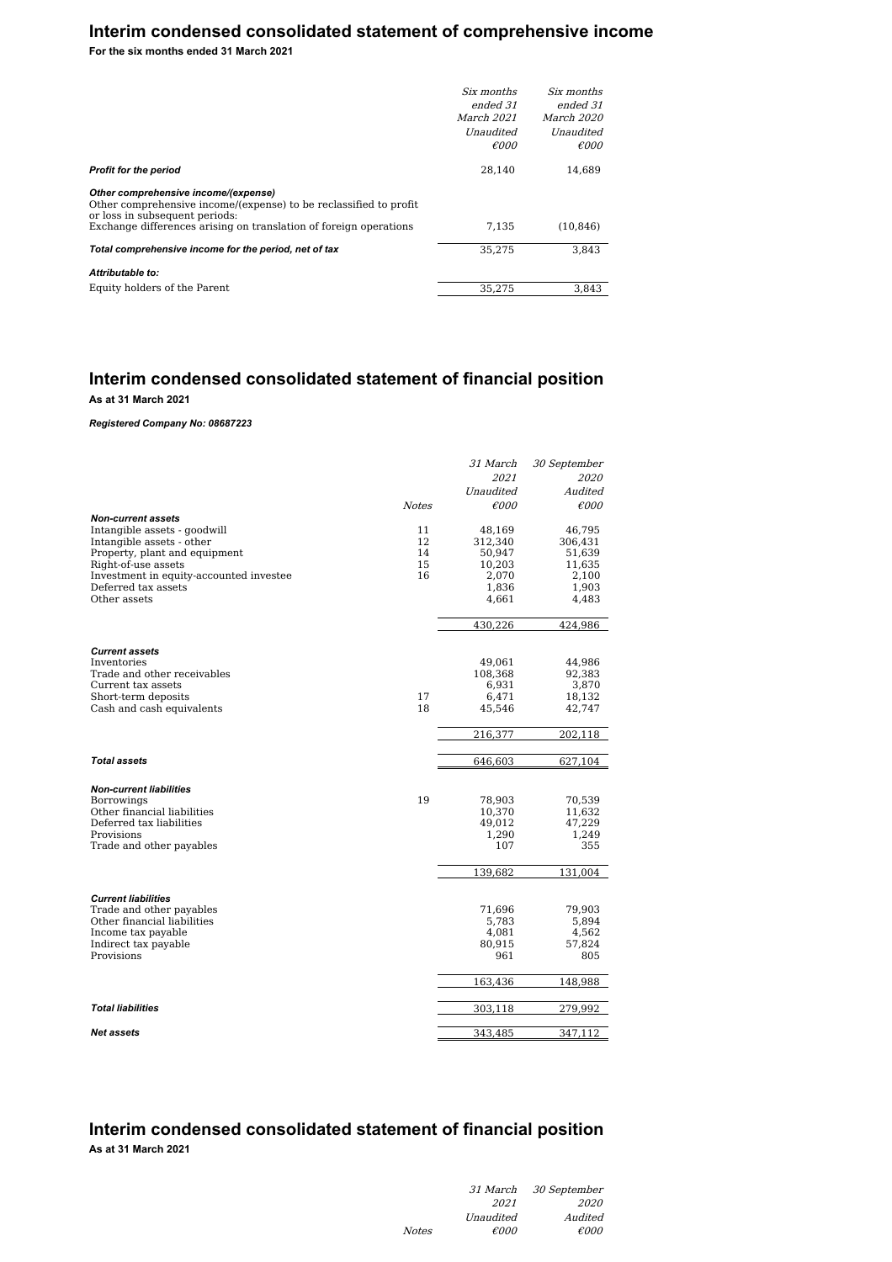# **Interim condensed consolidated statement of comprehensive income**

**For the six months ended 31 March 2021**

| Six months        | Six months        |
|-------------------|-------------------|
| ended 31          | ended 31          |
| <i>March 2021</i> | <i>March 2020</i> |
| Unaudited         | Unaudited         |
| $\epsilon$ 000    | $\epsilon$ 000    |
| 28.140            | 14.689            |
|                   |                   |
| 7.135             | (10.846)          |
| 35.275            | 3.843             |
|                   |                   |
| 35.275            | 3.843             |
|                   |                   |

# **Interim condensed consolidated statement of financial position**

**As at 31 March 2021**

*Registered Company No: 08687223*

| 2021<br>2020<br>Unaudited<br>Audited<br>$\epsilon$ 000<br>$\epsilon$ 000<br><b>Notes</b><br><b>Non-current assets</b><br>Intangible assets - goodwill<br>11<br>48,169<br>46,795<br>12<br>Intangible assets - other<br>312,340<br>306,431<br>Property, plant and equipment<br>14<br>50,947<br>51,639<br>15<br>Right-of-use assets<br>11,635<br>10,203<br>16<br>Investment in equity-accounted investee<br>2,100<br>2,070<br>Deferred tax assets<br>1,836<br>1,903<br>Other assets<br>4,483<br>4,661<br>430,226<br>424,986<br><b>Current assets</b><br>Inventories<br>49,061<br>44,986<br>Trade and other receivables<br>108,368<br>92,383<br>Current tax assets<br>3,870<br>6,931<br>17<br>Short-term deposits<br>6,471<br>18,132<br>18<br>Cash and cash equivalents<br>42,747<br>45,546<br>216,377<br>202,118<br><b>Total assets</b><br>646,603<br>627,104<br><b>Non-current liabilities</b><br>19<br><b>Borrowings</b><br>78,903<br>70,539<br>Other financial liabilities<br>10,370<br>11,632<br>Deferred tax liabilities<br>49,012<br>47,229<br>Provisions<br>1,290<br>1,249<br>Trade and other payables<br>107<br>355<br>139,682<br>131,004<br><b>Current liabilities</b><br>Trade and other payables<br>71,696<br>79,903<br>Other financial liabilities<br>5,783<br>5,894<br>Income tax payable<br>4,081<br>4,562<br>Indirect tax payable<br>80,915<br>57,824<br>Provisions<br>961<br>805<br>163,436<br>148,988<br><b>Total liabilities</b><br>303,118<br>279,992 |  | 31 March | 30 September |
|-----------------------------------------------------------------------------------------------------------------------------------------------------------------------------------------------------------------------------------------------------------------------------------------------------------------------------------------------------------------------------------------------------------------------------------------------------------------------------------------------------------------------------------------------------------------------------------------------------------------------------------------------------------------------------------------------------------------------------------------------------------------------------------------------------------------------------------------------------------------------------------------------------------------------------------------------------------------------------------------------------------------------------------------------------------------------------------------------------------------------------------------------------------------------------------------------------------------------------------------------------------------------------------------------------------------------------------------------------------------------------------------------------------------------------------------------------------------------|--|----------|--------------|
|                                                                                                                                                                                                                                                                                                                                                                                                                                                                                                                                                                                                                                                                                                                                                                                                                                                                                                                                                                                                                                                                                                                                                                                                                                                                                                                                                                                                                                                                       |  |          |              |
|                                                                                                                                                                                                                                                                                                                                                                                                                                                                                                                                                                                                                                                                                                                                                                                                                                                                                                                                                                                                                                                                                                                                                                                                                                                                                                                                                                                                                                                                       |  |          |              |
|                                                                                                                                                                                                                                                                                                                                                                                                                                                                                                                                                                                                                                                                                                                                                                                                                                                                                                                                                                                                                                                                                                                                                                                                                                                                                                                                                                                                                                                                       |  |          |              |
|                                                                                                                                                                                                                                                                                                                                                                                                                                                                                                                                                                                                                                                                                                                                                                                                                                                                                                                                                                                                                                                                                                                                                                                                                                                                                                                                                                                                                                                                       |  |          |              |
|                                                                                                                                                                                                                                                                                                                                                                                                                                                                                                                                                                                                                                                                                                                                                                                                                                                                                                                                                                                                                                                                                                                                                                                                                                                                                                                                                                                                                                                                       |  |          |              |
|                                                                                                                                                                                                                                                                                                                                                                                                                                                                                                                                                                                                                                                                                                                                                                                                                                                                                                                                                                                                                                                                                                                                                                                                                                                                                                                                                                                                                                                                       |  |          |              |
|                                                                                                                                                                                                                                                                                                                                                                                                                                                                                                                                                                                                                                                                                                                                                                                                                                                                                                                                                                                                                                                                                                                                                                                                                                                                                                                                                                                                                                                                       |  |          |              |
|                                                                                                                                                                                                                                                                                                                                                                                                                                                                                                                                                                                                                                                                                                                                                                                                                                                                                                                                                                                                                                                                                                                                                                                                                                                                                                                                                                                                                                                                       |  |          |              |
|                                                                                                                                                                                                                                                                                                                                                                                                                                                                                                                                                                                                                                                                                                                                                                                                                                                                                                                                                                                                                                                                                                                                                                                                                                                                                                                                                                                                                                                                       |  |          |              |
|                                                                                                                                                                                                                                                                                                                                                                                                                                                                                                                                                                                                                                                                                                                                                                                                                                                                                                                                                                                                                                                                                                                                                                                                                                                                                                                                                                                                                                                                       |  |          |              |
|                                                                                                                                                                                                                                                                                                                                                                                                                                                                                                                                                                                                                                                                                                                                                                                                                                                                                                                                                                                                                                                                                                                                                                                                                                                                                                                                                                                                                                                                       |  |          |              |
|                                                                                                                                                                                                                                                                                                                                                                                                                                                                                                                                                                                                                                                                                                                                                                                                                                                                                                                                                                                                                                                                                                                                                                                                                                                                                                                                                                                                                                                                       |  |          |              |
|                                                                                                                                                                                                                                                                                                                                                                                                                                                                                                                                                                                                                                                                                                                                                                                                                                                                                                                                                                                                                                                                                                                                                                                                                                                                                                                                                                                                                                                                       |  |          |              |
|                                                                                                                                                                                                                                                                                                                                                                                                                                                                                                                                                                                                                                                                                                                                                                                                                                                                                                                                                                                                                                                                                                                                                                                                                                                                                                                                                                                                                                                                       |  |          |              |
|                                                                                                                                                                                                                                                                                                                                                                                                                                                                                                                                                                                                                                                                                                                                                                                                                                                                                                                                                                                                                                                                                                                                                                                                                                                                                                                                                                                                                                                                       |  |          |              |
|                                                                                                                                                                                                                                                                                                                                                                                                                                                                                                                                                                                                                                                                                                                                                                                                                                                                                                                                                                                                                                                                                                                                                                                                                                                                                                                                                                                                                                                                       |  |          |              |
|                                                                                                                                                                                                                                                                                                                                                                                                                                                                                                                                                                                                                                                                                                                                                                                                                                                                                                                                                                                                                                                                                                                                                                                                                                                                                                                                                                                                                                                                       |  |          |              |
|                                                                                                                                                                                                                                                                                                                                                                                                                                                                                                                                                                                                                                                                                                                                                                                                                                                                                                                                                                                                                                                                                                                                                                                                                                                                                                                                                                                                                                                                       |  |          |              |
|                                                                                                                                                                                                                                                                                                                                                                                                                                                                                                                                                                                                                                                                                                                                                                                                                                                                                                                                                                                                                                                                                                                                                                                                                                                                                                                                                                                                                                                                       |  |          |              |
|                                                                                                                                                                                                                                                                                                                                                                                                                                                                                                                                                                                                                                                                                                                                                                                                                                                                                                                                                                                                                                                                                                                                                                                                                                                                                                                                                                                                                                                                       |  |          |              |
|                                                                                                                                                                                                                                                                                                                                                                                                                                                                                                                                                                                                                                                                                                                                                                                                                                                                                                                                                                                                                                                                                                                                                                                                                                                                                                                                                                                                                                                                       |  |          |              |
|                                                                                                                                                                                                                                                                                                                                                                                                                                                                                                                                                                                                                                                                                                                                                                                                                                                                                                                                                                                                                                                                                                                                                                                                                                                                                                                                                                                                                                                                       |  |          |              |
|                                                                                                                                                                                                                                                                                                                                                                                                                                                                                                                                                                                                                                                                                                                                                                                                                                                                                                                                                                                                                                                                                                                                                                                                                                                                                                                                                                                                                                                                       |  |          |              |
|                                                                                                                                                                                                                                                                                                                                                                                                                                                                                                                                                                                                                                                                                                                                                                                                                                                                                                                                                                                                                                                                                                                                                                                                                                                                                                                                                                                                                                                                       |  |          |              |
|                                                                                                                                                                                                                                                                                                                                                                                                                                                                                                                                                                                                                                                                                                                                                                                                                                                                                                                                                                                                                                                                                                                                                                                                                                                                                                                                                                                                                                                                       |  |          |              |
|                                                                                                                                                                                                                                                                                                                                                                                                                                                                                                                                                                                                                                                                                                                                                                                                                                                                                                                                                                                                                                                                                                                                                                                                                                                                                                                                                                                                                                                                       |  |          |              |
|                                                                                                                                                                                                                                                                                                                                                                                                                                                                                                                                                                                                                                                                                                                                                                                                                                                                                                                                                                                                                                                                                                                                                                                                                                                                                                                                                                                                                                                                       |  |          |              |
|                                                                                                                                                                                                                                                                                                                                                                                                                                                                                                                                                                                                                                                                                                                                                                                                                                                                                                                                                                                                                                                                                                                                                                                                                                                                                                                                                                                                                                                                       |  |          |              |
|                                                                                                                                                                                                                                                                                                                                                                                                                                                                                                                                                                                                                                                                                                                                                                                                                                                                                                                                                                                                                                                                                                                                                                                                                                                                                                                                                                                                                                                                       |  |          |              |
|                                                                                                                                                                                                                                                                                                                                                                                                                                                                                                                                                                                                                                                                                                                                                                                                                                                                                                                                                                                                                                                                                                                                                                                                                                                                                                                                                                                                                                                                       |  |          |              |
|                                                                                                                                                                                                                                                                                                                                                                                                                                                                                                                                                                                                                                                                                                                                                                                                                                                                                                                                                                                                                                                                                                                                                                                                                                                                                                                                                                                                                                                                       |  |          |              |
|                                                                                                                                                                                                                                                                                                                                                                                                                                                                                                                                                                                                                                                                                                                                                                                                                                                                                                                                                                                                                                                                                                                                                                                                                                                                                                                                                                                                                                                                       |  |          |              |
|                                                                                                                                                                                                                                                                                                                                                                                                                                                                                                                                                                                                                                                                                                                                                                                                                                                                                                                                                                                                                                                                                                                                                                                                                                                                                                                                                                                                                                                                       |  |          |              |
|                                                                                                                                                                                                                                                                                                                                                                                                                                                                                                                                                                                                                                                                                                                                                                                                                                                                                                                                                                                                                                                                                                                                                                                                                                                                                                                                                                                                                                                                       |  |          |              |
|                                                                                                                                                                                                                                                                                                                                                                                                                                                                                                                                                                                                                                                                                                                                                                                                                                                                                                                                                                                                                                                                                                                                                                                                                                                                                                                                                                                                                                                                       |  |          |              |
| <b>Net assets</b><br>343,485<br>347,112                                                                                                                                                                                                                                                                                                                                                                                                                                                                                                                                                                                                                                                                                                                                                                                                                                                                                                                                                                                                                                                                                                                                                                                                                                                                                                                                                                                                                               |  |          |              |

# **Interim condensed consolidated statement of financial position**

 $Notes$ 

**As at 31 March 2021**

| <i>31 March</i> | 30 September   |
|-----------------|----------------|
| 2021            | 2020           |
| Unaudited       | Audited        |
| €000            | $\epsilon$ 000 |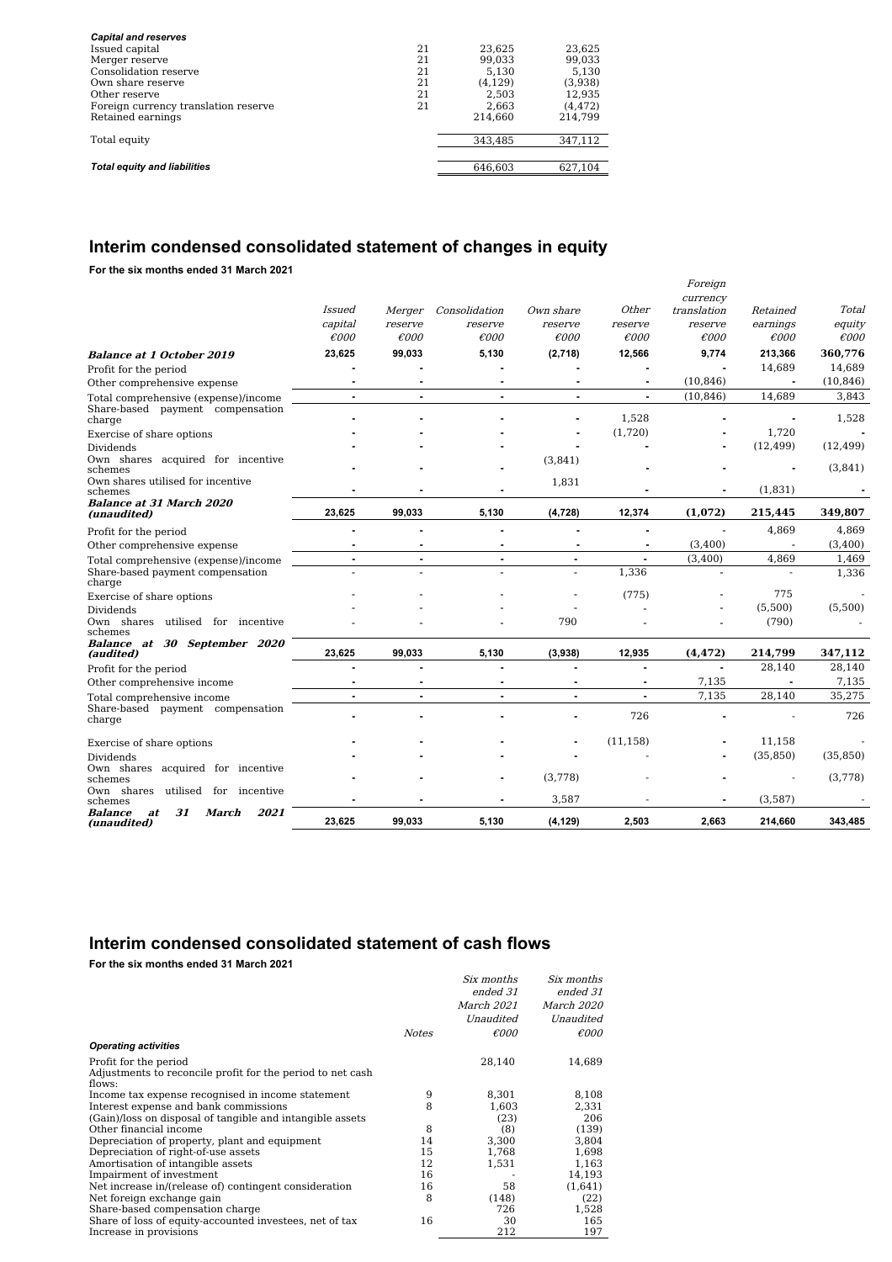| <b>Capital and reserves</b>          |    |         |          |
|--------------------------------------|----|---------|----------|
| Issued capital                       | 21 | 23.625  | 23,625   |
| Merger reserve                       | 21 | 99.033  | 99.033   |
| Consolidation reserve                | 21 | 5.130   | 5.130    |
| Own share reserve                    | 21 | (4.129) | (3,938)  |
| Other reserve                        | 21 | 2.503   | 12,935   |
| Foreign currency translation reserve | 21 | 2.663   | (4, 472) |
| Retained earnings                    |    | 214.660 | 214.799  |
|                                      |    |         |          |
| Total equity                         |    | 343.485 | 347,112  |
|                                      |    |         |          |
| <b>Total equity and liabilities</b>  |    | 646.603 | 627,104  |
|                                      |    |         |          |

# **Interim condensed consolidated statement of changes in equity**

**For the six months ended 31 March 2021**

|                                                                                    | Issued<br>capital<br>$\epsilon$ 000 | Merger<br>reserve<br>$\epsilon$ 000 | Consolidation<br>reserve<br>$\epsilon$ 000 | Own share<br>reserve<br>$\epsilon$ 000 | Other<br>reserve<br>$\epsilon$ 000 | Foreign<br>currency<br>translation<br>reserve<br>$\epsilon$ 000 | Retained<br>earnings<br>$\epsilon$ 000 | Total<br>equity<br>$\epsilon$ 000 |
|------------------------------------------------------------------------------------|-------------------------------------|-------------------------------------|--------------------------------------------|----------------------------------------|------------------------------------|-----------------------------------------------------------------|----------------------------------------|-----------------------------------|
|                                                                                    | 23,625                              | 99,033                              | 5,130                                      | (2,718)                                | 12,566                             | 9,774                                                           | 213,366                                | 360,776                           |
| <b>Balance at 1 October 2019</b>                                                   |                                     |                                     |                                            |                                        |                                    |                                                                 | 14,689                                 | 14,689                            |
| Profit for the period                                                              |                                     |                                     |                                            |                                        |                                    | (10, 846)                                                       | $\blacksquare$                         | (10, 846)                         |
| Other comprehensive expense                                                        | ä,                                  | ÷                                   |                                            |                                        | ÷.                                 | (10, 846)                                                       | 14,689                                 |                                   |
| Total comprehensive (expense)/income<br>Share-based payment compensation<br>charge |                                     |                                     | $\blacksquare$                             | ٠                                      | 1,528                              |                                                                 |                                        | 3,843<br>1,528                    |
| Exercise of share options                                                          |                                     |                                     |                                            |                                        | (1,720)                            |                                                                 | 1,720                                  |                                   |
| Dividends                                                                          |                                     |                                     |                                            |                                        |                                    |                                                                 | (12, 499)                              | (12, 499)                         |
| Own shares acquired for incentive<br>schemes                                       |                                     |                                     |                                            | (3,841)                                |                                    |                                                                 |                                        | (3,841)                           |
| Own shares utilised for incentive<br>schemes                                       |                                     |                                     |                                            | 1,831                                  |                                    |                                                                 | (1,831)                                |                                   |
| <b>Balance at 31 March 2020</b><br>(unaudited)                                     | 23,625                              | 99,033                              | 5,130                                      | (4, 728)                               | 12,374                             | (1,072)                                                         | 215,445                                | 349,807                           |
| Profit for the period                                                              | ÷                                   |                                     |                                            | $\blacksquare$                         |                                    |                                                                 | 4,869                                  | 4,869                             |
| Other comprehensive expense                                                        | ٠                                   | ٠                                   | ٠                                          | ٠                                      | $\blacksquare$                     | (3,400)                                                         | $\overline{\phantom{a}}$               | (3,400)                           |
| Total comprehensive (expense)/income                                               | ٠                                   | $\blacksquare$                      | ٠                                          | ٠                                      | ٠                                  | (3,400)                                                         | 4,869                                  | 1,469                             |
| Share-based payment compensation<br>charge                                         |                                     |                                     |                                            | $\overline{a}$                         | 1.336                              | $\overline{\phantom{a}}$                                        | $\overline{a}$                         | 1,336                             |
| Exercise of share options                                                          |                                     |                                     |                                            |                                        | (775)                              |                                                                 | 775                                    |                                   |
| Dividends                                                                          |                                     |                                     |                                            |                                        |                                    |                                                                 | (5,500)                                | (5,500)                           |
| Own shares utilised for incentive<br>schemes                                       |                                     |                                     |                                            | 790                                    |                                    |                                                                 | (790)                                  |                                   |
| Balance at 30 September 2020<br>(audited)                                          | 23,625                              | 99.033                              | 5,130                                      | (3,938)                                | 12,935                             | (4, 472)                                                        | 214,799                                | 347,112                           |
| Profit for the period                                                              |                                     |                                     |                                            |                                        |                                    |                                                                 | 28,140                                 | 28,140                            |
| Other comprehensive income                                                         |                                     |                                     |                                            |                                        |                                    | 7,135                                                           |                                        | 7,135                             |
| Total comprehensive income                                                         | ٠                                   |                                     | ٠                                          |                                        |                                    | 7.135                                                           | 28,140                                 | 35,275                            |
| Share-based payment compensation<br>charge                                         |                                     |                                     |                                            |                                        | 726                                |                                                                 |                                        | 726                               |
| Exercise of share options                                                          |                                     |                                     |                                            |                                        | (11, 158)                          |                                                                 | 11,158                                 |                                   |
| Dividends                                                                          |                                     |                                     |                                            |                                        |                                    |                                                                 | (35, 850)                              | (35, 850)                         |
| Own shares acquired for incentive<br>schemes                                       |                                     |                                     |                                            | (3,778)                                |                                    |                                                                 |                                        | (3,778)                           |
| Own shares<br>utilised for incentive<br>schemes                                    |                                     |                                     |                                            | 3,587                                  |                                    |                                                                 | (3,587)                                |                                   |
| 31<br>2021<br>Balance<br><b>March</b><br>at<br>(unaudited)                         | 23,625                              | 99,033                              | 5,130                                      | (4, 129)                               | 2,503                              | 2,663                                                           | 214,660                                | 343,485                           |

# **Interim condensed consolidated statement of cash flows**

**For the six months ended 31 March 2021**

|                                                                      |              |                   | Six months     |
|----------------------------------------------------------------------|--------------|-------------------|----------------|
|                                                                      |              | ended 31          | ended 31       |
|                                                                      |              | <i>March 2021</i> | March 2020     |
|                                                                      |              | Unaudited         | Unaudited      |
|                                                                      | <b>Notes</b> | $\epsilon$ 000    | $\epsilon$ 000 |
| <b>Operating activities</b>                                          |              |                   |                |
| Profit for the period                                                |              | 28,140            | 14,689         |
| Adjustments to reconcile profit for the period to net cash<br>flows: |              |                   |                |
| Income tax expense recognised in income statement                    | 9            | 8,301             | 8,108          |
| Interest expense and bank commissions                                | 8            | 1,603             | 2,331          |
| (Gain)/loss on disposal of tangible and intangible assets            |              | (23)              | 206            |
| Other financial income                                               | 8            | (8)               | (139)          |
| Depreciation of property, plant and equipment                        | 14           | 3,300             | 3,804          |
| Depreciation of right-of-use assets                                  | 15           | 1,768             | 1,698          |
| Amortisation of intangible assets                                    | 12           | 1,531             | 1,163          |
| Impairment of investment                                             | 16           |                   | 14,193         |
| Net increase in/(release of) contingent consideration                | 16           | 58                | (1,641)        |
| Net foreign exchange gain                                            | 8            | (148)             | (22)           |
| Share-based compensation charge                                      |              | 726               | 1,528          |
| Share of loss of equity-accounted investees, net of tax              | 16           | 30                | 165            |
| Increase in provisions                                               |              | 212               | 197            |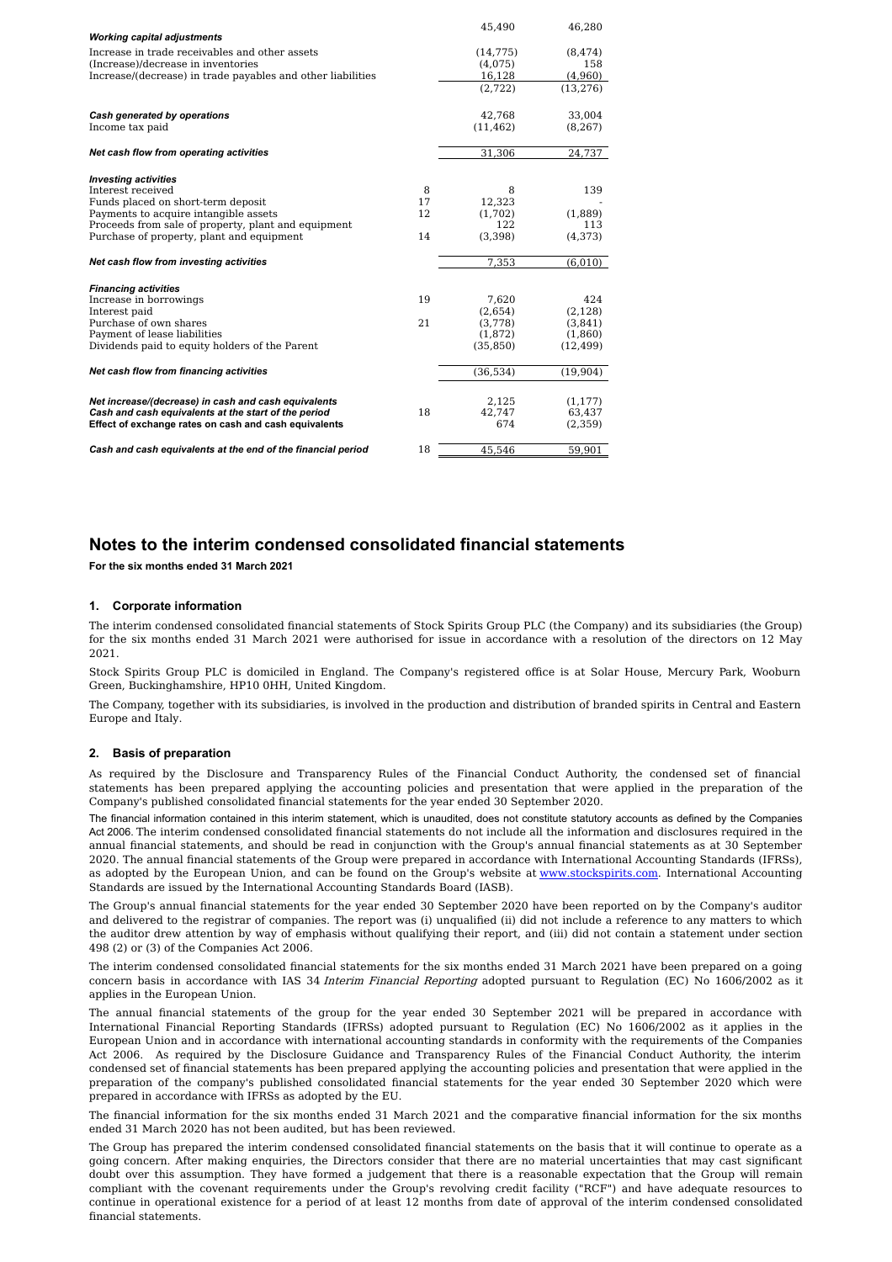| <b>Working capital adjustments</b>                           |    | 45,490    | 46,280    |
|--------------------------------------------------------------|----|-----------|-----------|
| Increase in trade receivables and other assets               |    |           |           |
|                                                              |    | (14, 775) | (8, 474)  |
| (Increase)/decrease in inventories                           |    | (4,075)   | 158       |
| Increase/(decrease) in trade payables and other liabilities  |    | 16,128    | (4,960)   |
|                                                              |    | (2,722)   | (13, 276) |
| Cash generated by operations                                 |    | 42,768    | 33,004    |
| Income tax paid                                              |    | (11, 462) | (8, 267)  |
| Net cash flow from operating activities                      |    | 31,306    | 24,737    |
|                                                              |    |           |           |
| <b>Investing activities</b>                                  |    |           |           |
| Interest received                                            | 8  | 8         | 139       |
| Funds placed on short-term deposit                           | 17 | 12.323    |           |
| Payments to acquire intangible assets                        | 12 | (1,702)   | (1,889)   |
| Proceeds from sale of property, plant and equipment          |    | 122       | 113       |
| Purchase of property, plant and equipment                    | 14 | (3,398)   | (4,373)   |
| Net cash flow from investing activities                      |    | 7,353     | (6,010)   |
| <b>Financing activities</b>                                  |    |           |           |
| Increase in borrowings                                       | 19 | 7.620     | 424       |
| Interest paid                                                |    | (2,654)   | (2, 128)  |
| Purchase of own shares                                       | 21 | (3,778)   | (3,841)   |
| Payment of lease liabilities                                 |    | (1,872)   | (1,860)   |
| Dividends paid to equity holders of the Parent               |    | (35, 850) | (12, 499) |
|                                                              |    |           |           |
| Net cash flow from financing activities                      |    | (36,534)  | (19,904)  |
| Net increase/(decrease) in cash and cash equivalents         |    | 2,125     | (1, 177)  |
| Cash and cash equivalents at the start of the period         | 18 | 42,747    | 63,437    |
|                                                              |    | 674       |           |
| Effect of exchange rates on cash and cash equivalents        |    |           | (2,359)   |
| Cash and cash equivalents at the end of the financial period | 18 | 45.546    | 59.901    |

## **Notes to the interim condensed consolidated financial statements**

**For the six months ended 31 March 2021**

#### **1. Corporate information**

The interim condensed consolidated financial statements of Stock Spirits Group PLC (the Company) and its subsidiaries (the Group) for the six months ended 31 March 2021 were authorised for issue in accordance with a resolution of the directors on 12 May 2021.

Stock Spirits Group PLC is domiciled in England. The Company's registered office is at Solar House, Mercury Park, Wooburn Green, Buckinghamshire, HP10 0HH, United Kingdom.

The Company, together with its subsidiaries, is involved in the production and distribution of branded spirits in Central and Eastern Europe and Italy.

#### **2. Basis of preparation**

As required by the Disclosure and Transparency Rules of the Financial Conduct Authority, the condensed set of financial statements has been prepared applying the accounting policies and presentation that were applied in the preparation of the Company's published consolidated financial statements for the year ended 30 September 2020.

The financial information contained in this interim statement, which is unaudited, does not constitute statutory accounts as defined by the Companies Act 2006. The interim condensed consolidated financial statements do not include all the information and disclosures required in the annual financial statements, and should be read in conjunction with the Group's annual financial statements as at 30 September 2020. The annual financial statements of the Group were prepared in accordance with International Accounting Standards (IFRSs), as adopted by the European Union, and can be found on the Group's website at [www.stockspirits.com](http://www.stockspirits.com). International Accounting Standards are issued by the International Accounting Standards Board (IASB).

The Group's annual financial statements for the year ended 30 September 2020 have been reported on by the Company's auditor and delivered to the registrar of companies. The report was (i) unqualified (ii) did not include a reference to any matters to which the auditor drew attention by way of emphasis without qualifying their report, and (iii) did not contain a statement under section 498 (2) or (3) of the Companies Act 2006.

The interim condensed consolidated financial statements for the six months ended 31 March 2021 have been prepared on a going concern basis in accordance with IAS 34 Interim Financial Reporting adopted pursuant to Regulation (EC) No 1606/2002 as it applies in the European Union.

The annual financial statements of the group for the year ended 30 September 2021 will be prepared in accordance with International Financial Reporting Standards (IFRSs) adopted pursuant to Regulation (EC) No 1606/2002 as it applies in the European Union and in accordance with international accounting standards in conformity with the requirements of the Companies Act 2006. As required by the Disclosure Guidance and Transparency Rules of the Financial Conduct Authority, the interim condensed set of financial statements has been prepared applying the accounting policies and presentation that were applied in the preparation of the company's published consolidated financial statements for the year ended 30 September 2020 which were prepared in accordance with IFRSs as adopted by the EU.

The financial information for the six months ended 31 March 2021 and the comparative financial information for the six months ended 31 March 2020 has not been audited, but has been reviewed.

The Group has prepared the interim condensed consolidated financial statements on the basis that it will continue to operate as a going concern. After making enquiries, the Directors consider that there are no material uncertainties that may cast significant doubt over this assumption. They have formed a judgement that there is a reasonable expectation that the Group will remain compliant with the covenant requirements under the Group's revolving credit facility ("RCF") and have adequate resources to continue in operational existence for a period of at least 12 months from date of approval of the interim condensed consolidated financial statements.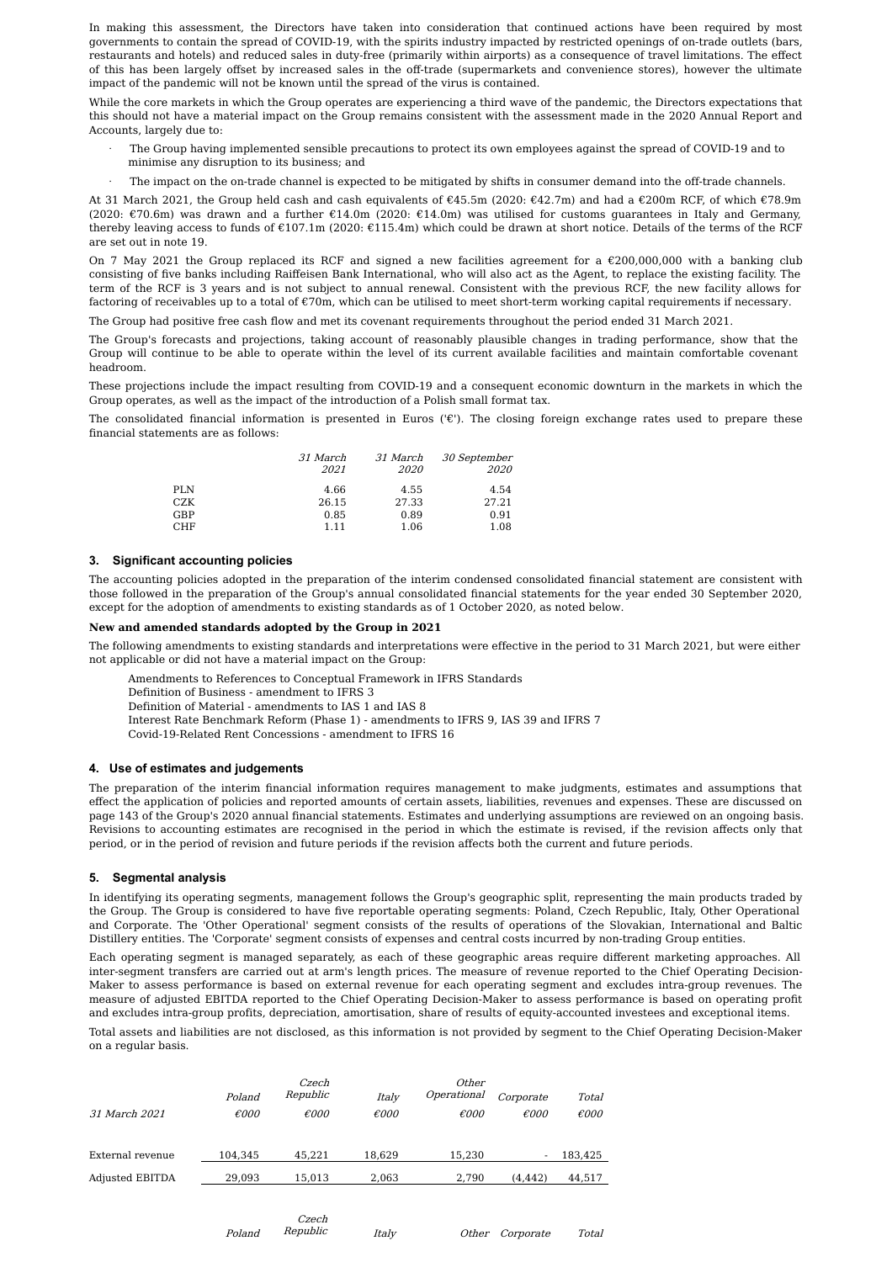In making this assessment, the Directors have taken into consideration that continued actions have been required by most governments to contain the spread of COVID-19, with the spirits industry impacted by restricted openings of on-trade outlets (bars, restaurants and hotels) and reduced sales in duty-free (primarily within airports) as a consequence of travel limitations. The effect of this has been largely offset by increased sales in the off-trade (supermarkets and convenience stores), however the ultimate impact of the pandemic will not be known until the spread of the virus is contained.

While the core markets in which the Group operates are experiencing a third wave of the pandemic, the Directors expectations that this should not have a material impact on the Group remains consistent with the assessment made in the 2020 Annual Report and Accounts, largely due to:

- The Group having implemented sensible precautions to protect its own employees against the spread of COVID-19 and to minimise any disruption to its business; and
- · The impact on the on-trade channel is expected to be mitigated by shifts in consumer demand into the off-trade channels.

At 31 March 2021, the Group held cash and cash equivalents of €45.5m (2020: €42.7m) and had a €200m RCF, of which €78.9m (2020: €70.6m) was drawn and a further €14.0m (2020: €14.0m) was utilised for customs guarantees in Italy and Germany, thereby leaving access to funds of €107.1m (2020: €115.4m) which could be drawn at short notice. Details of the terms of the RCF are set out in note 19.

On 7 May 2021 the Group replaced its RCF and signed a new facilities agreement for a  $\epsilon$ 200,000,000 with a banking club consisting of five banks including Raiffeisen Bank International, who will also act as the Agent, to replace the existing facility. The term of the RCF is 3 years and is not subject to annual renewal. Consistent with the previous RCF, the new facility allows for factoring of receivables up to a total of €70m, which can be utilised to meet short-term working capital requirements if necessary.

The Group had positive free cash flow and met its covenant requirements throughout the period ended 31 March 2021.

The Group's forecasts and projections, taking account of reasonably plausible changes in trading performance, show that the Group will continue to be able to operate within the level of its current available facilities and maintain comfortable covenant headroom.

These projections include the impact resulting from COVID-19 and a consequent economic downturn in the markets in which the Group operates, as well as the impact of the introduction of a Polish small format tax.

The consolidated financial information is presented in Euros ('€'). The closing foreign exchange rates used to prepare these financial statements are as follows:

|     | <i>31 March</i><br>2021 | <i>31 March</i><br><i>2020</i> | <i>30 September</i><br><i>2020</i> |
|-----|-------------------------|--------------------------------|------------------------------------|
| PLN | 4.66                    | 4.55                           | 4.54                               |
| CZK | 26.15                   | 27.33                          | 27.21                              |
| GBP | 0.85                    | 0.89                           | 0.91                               |
| CHF | 1.11                    | 1.06                           | 1.08                               |

#### **3. Significant accounting policies**

The accounting policies adopted in the preparation of the interim condensed consolidated financial statement are consistent with those followed in the preparation of the Group's annual consolidated financial statements for the year ended 30 September 2020, except for the adoption of amendments to existing standards as of 1 October 2020, as noted below.

#### **New and amended standards adopted by the Group in 2021**

The following amendments to existing standards and interpretations were effective in the period to 31 March 2021, but were either not applicable or did not have a material impact on the Group:

Amendments to References to Conceptual Framework in IFRS Standards

Definition of Business - amendment to IFRS 3

Definition of Material - amendments to IAS 1 and IAS 8

- Interest Rate Benchmark Reform (Phase 1) amendments to IFRS 9, IAS 39 and IFRS 7
- Covid-19-Related Rent Concessions amendment to IFRS 16

#### **4. Use of estimates and judgements**

The preparation of the interim financial information requires management to make judgments, estimates and assumptions that effect the application of policies and reported amounts of certain assets, liabilities, revenues and expenses. These are discussed on page 143 of the Group's 2020 annual financial statements. Estimates and underlying assumptions are reviewed on an ongoing basis. Revisions to accounting estimates are recognised in the period in which the estimate is revised, if the revision affects only that period, or in the period of revision and future periods if the revision affects both the current and future periods.

#### **5. Segmental analysis**

In identifying its operating segments, management follows the Group's geographic split, representing the main products traded by the Group. The Group is considered to have five reportable operating segments: Poland, Czech Republic, Italy, Other Operational and Corporate. The 'Other Operational' segment consists of the results of operations of the Slovakian, International and Baltic Distillery entities. The 'Corporate' segment consists of expenses and central costs incurred by non-trading Group entities.

Each operating segment is managed separately, as each of these geographic areas require different marketing approaches. All inter-segment transfers are carried out at arm's length prices. The measure of revenue reported to the Chief Operating Decision- Maker to assess performance is based on external revenue for each operating segment and excludes intra-group revenues. The measure of adjusted EBITDA reported to the Chief Operating Decision-Maker to assess performance is based on operating profit and excludes intra-group profits, depreciation, amortisation, share of results of equity-accounted investees and exceptional items.

Total assets and liabilities are not disclosed, as this information is not provided by segment to the Chief Operating Decision-Maker on a regular basis.

| 31 March 2021          | Poland<br>€000 | Czech<br>Republic<br>$\epsilon$ 000 | Italy<br>$\epsilon$ 000 | Other<br>Operational<br>$\epsilon$ 000 | Corporate<br>$\epsilon$ 000 | Total<br>$\epsilon$ 000 |
|------------------------|----------------|-------------------------------------|-------------------------|----------------------------------------|-----------------------------|-------------------------|
| External revenue       | 104.345        | 45.221                              | 18.629                  | 15.230                                 |                             | 183,425                 |
| <b>Adjusted EBITDA</b> | 29.093         | 15.013                              | 2.063                   | 2.790                                  | (4.442)                     | 44,517                  |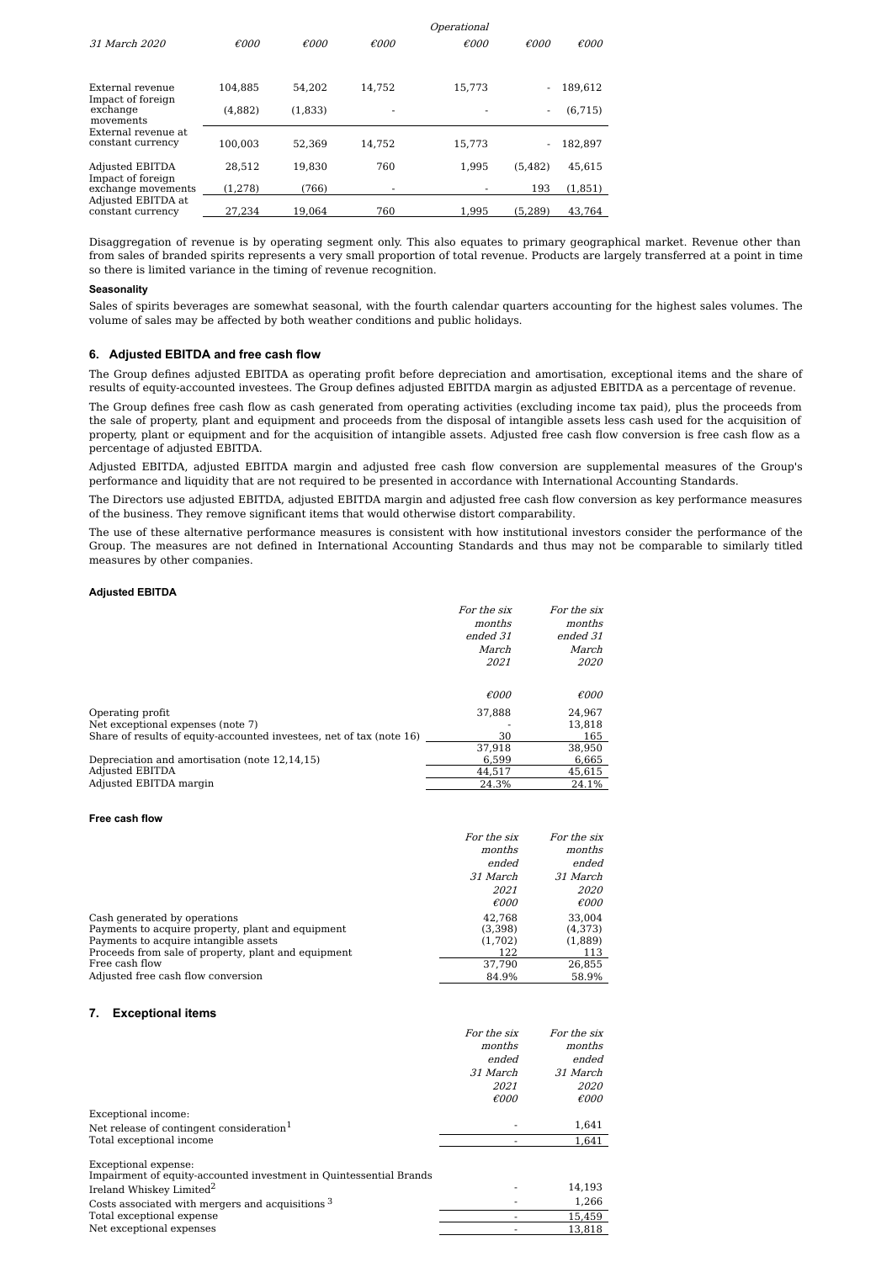|                        |                |                |                | Operational    |                |                |
|------------------------|----------------|----------------|----------------|----------------|----------------|----------------|
| 31 March 2020          | $\epsilon$ 000 | $\epsilon$ 000 | $\epsilon$ 000 | $\epsilon$ 000 | $\epsilon$ 000 | $\epsilon$ 000 |
|                        |                |                |                |                |                |                |
|                        |                |                |                |                |                |                |
| External revenue       | 104.885        | 54.202         | 14.752         | 15.773         |                | 189.612        |
| Impact of foreign      |                |                |                |                |                |                |
| exchange               | (4,882)        | (1,833)        |                |                | -              | (6, 715)       |
| movements              |                |                |                |                |                |                |
| External revenue at    |                |                |                |                |                |                |
| constant currency      | 100.003        | 52.369         | 14.752         | 15,773         |                | 182,897        |
| <b>Adjusted EBITDA</b> | 28.512         | 19.830         | 760            | 1.995          | (5.482)        | 45.615         |
| Impact of foreign      |                |                |                |                |                |                |
| exchange movements     | (1, 278)       | (766)          |                |                | 193            | (1,851)        |
| Adjusted EBITDA at     |                |                |                |                |                |                |
| constant currency      | 27.234         | 19.064         | 760            | 1.995          | (5.289)        | 43.764         |

Disaggregation of revenue is by operating segment only. This also equates to primary geographical market. Revenue other than from sales of branded spirits represents a very small proportion of total revenue. Products are largely transferred at a point in time so there is limited variance in the timing of revenue recognition.

#### **Seasonality**

Sales of spirits beverages are somewhat seasonal, with the fourth calendar quarters accounting for the highest sales volumes. The volume of sales may be affected by both weather conditions and public holidays.

#### **6. Adjusted EBITDA and free cash flow**

The Group defines adjusted EBITDA as operating profit before depreciation and amortisation, exceptional items and the share of results of equity-accounted investees. The Group defines adjusted EBITDA margin as adjusted EBITDA as a percentage of revenue.

The Group defines free cash flow as cash generated from operating activities (excluding income tax paid), plus the proceeds from the sale of property, plant and equipment and proceeds from the disposal of intangible assets less cash used for the acquisition of property, plant or equipment and for the acquisition of intangible assets. Adjusted free cash flow conversion is free cash flow as a percentage of adjusted EBITDA.

Adjusted EBITDA, adjusted EBITDA margin and adjusted free cash flow conversion are supplemental measures of the Group's performance and liquidity that are not required to be presented in accordance with International Accounting Standards.

The Directors use adjusted EBITDA, adjusted EBITDA margin and adjusted free cash flow conversion as key performance measures of the business. They remove significant items that would otherwise distort comparability.

The use of these alternative performance measures is consistent with how institutional investors consider the performance of the Group. The measures are not defined in International Accounting Standards and thus may not be comparable to similarly titled measures by other companies.

#### **Adjusted EBITDA**

|                                                                      | For the six    | For the six    |
|----------------------------------------------------------------------|----------------|----------------|
|                                                                      | months         | months         |
|                                                                      | ended 31       | ended 31       |
|                                                                      | March          | March          |
|                                                                      | 2021           | 2020           |
|                                                                      |                |                |
|                                                                      | $\epsilon$ 000 | $\epsilon$ 000 |
| Operating profit                                                     | 37.888         | 24.967         |
| Net exceptional expenses (note 7)                                    |                | 13.818         |
| Share of results of equity-accounted investees, net of tax (note 16) | 30             | 165            |
|                                                                      | 37.918         | 38.950         |
| Depreciation and amortisation (note 12,14,15)                        | 6.599          | 6,665          |
| Adjusted EBITDA                                                      | 44,517         | 45,615         |
| Adjusted EBITDA margin                                               | 24.3%          | 24.1%          |

#### **Free cash flow**

|                                                     | For the six     | For the six    |
|-----------------------------------------------------|-----------------|----------------|
|                                                     | months          | months         |
|                                                     | ended           | ended          |
|                                                     | <i>31 March</i> | 31 March       |
|                                                     | <i>2021</i>     | <i>2020</i>    |
|                                                     | $\epsilon$ 000  | $\epsilon$ 000 |
| Cash generated by operations                        | 42.768          | 33,004         |
| Payments to acquire property, plant and equipment   | (3,398)         | (4,373)        |
| Payments to acquire intangible assets               | (1,702)         | (1,889)        |
| Proceeds from sale of property, plant and equipment | 122             | 113            |
| Free cash flow                                      | 37.790          | 26,855         |
| Adjusted free cash flow conversion                  | 84.9%           | 58.9%          |

#### **7. Exceptional items**

|                                                      | For the six    | For the six    |
|------------------------------------------------------|----------------|----------------|
|                                                      | months         | months         |
|                                                      | ended          | ended          |
|                                                      | 31 March       | 31 March       |
|                                                      | 2021           | <i>2020</i>    |
|                                                      | $\epsilon$ 000 | $\epsilon$ 000 |
| Exceptional income:                                  |                |                |
| Net release of contingent consideration <sup>1</sup> |                | 1,641          |
| Total exceptional income                             |                | 1,641          |
|                                                      |                |                |

Exceptional expense: Impairment of equity-accounted investment in Quintessential Brands Ireland Whiskey Limited 2  $-$  14,193 Costs associated with mergers and acquisitions  $3 \times 1,266$ Total exceptional expense  $\sim$  15,459 Net exceptional expenses and the set of the set of the set of the set of the set of the set of the set of the set of the set of the set of the set of the set of the set of the set of the set of the set of the set of the se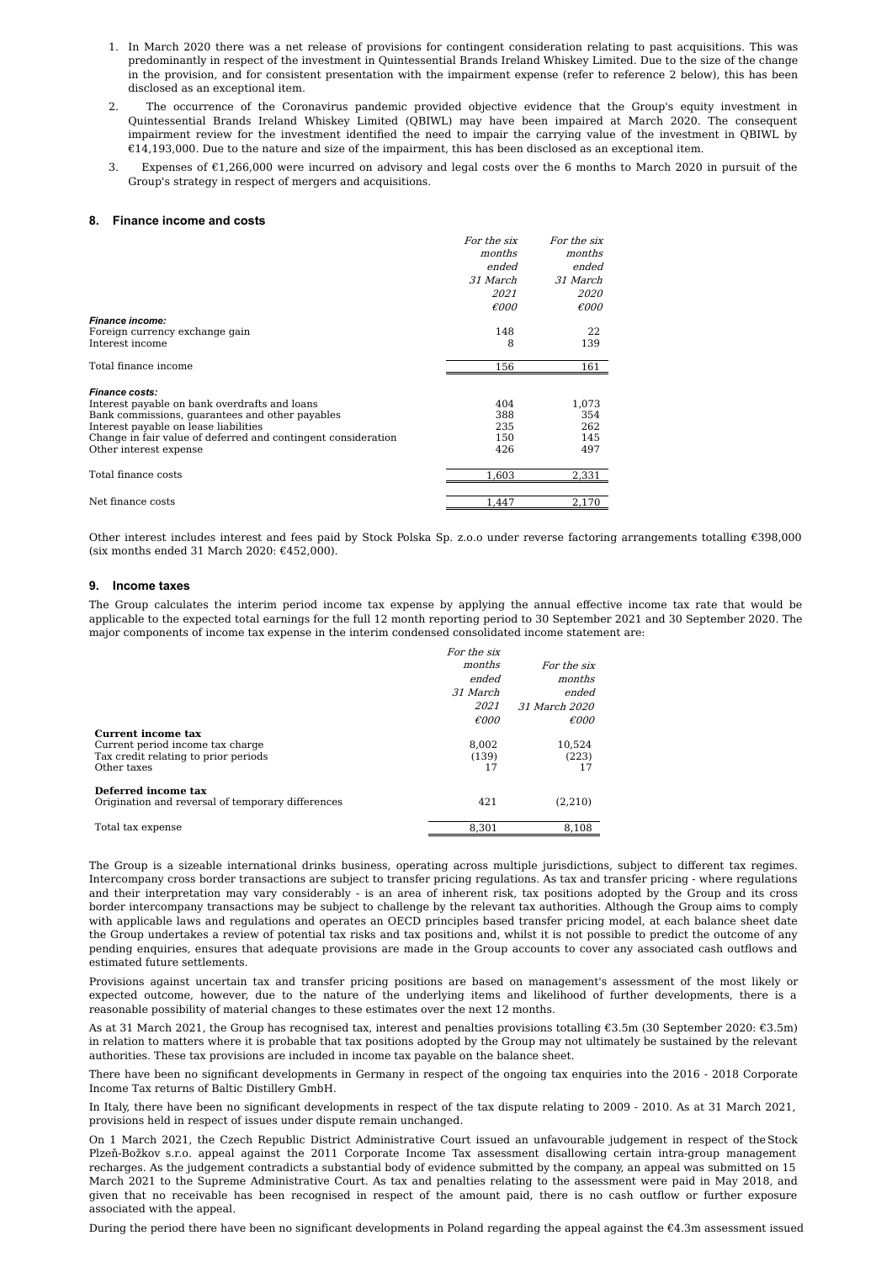- 1. In March 2020 there was a net release of provisions for contingent consideration relating to past acquisitions. This was predominantly in respect of the investment in Quintessential Brands Ireland Whiskey Limited. Due to the size of the change in the provision, and for consistent presentation with the impairment expense (refer to reference 2 below), this has been disclosed as an exceptional item.
- 2. The occurrence of the Coronavirus pandemic provided objective evidence that the Group's equity investment in Quintessential Brands Ireland Whiskey Limited (QBIWL) may have been impaired at March 2020. The consequent impairment review for the investment identified the need to impair the carrying value of the investment in QBIWL by €14,193,000. Due to the nature and size of the impairment, this has been disclosed as an exceptional item.
- 3. Expenses of €1,266,000 were incurred on advisory and legal costs over the 6 months to March 2020 in pursuit of the Group's strategy in respect of mergers and acquisitions.

#### **8. Finance income and costs**

|                                                               | For the six     | For the six    |
|---------------------------------------------------------------|-----------------|----------------|
|                                                               | months          | months         |
|                                                               | ended           | ended          |
|                                                               | <i>31 March</i> | 31 March       |
|                                                               | <i>2021</i>     | <i>2020</i>    |
|                                                               | $\epsilon$ 000  | $\epsilon$ 000 |
| <b>Finance income:</b>                                        |                 |                |
| Foreign currency exchange gain                                | 148             | 22             |
| Interest income                                               | 8               | 139            |
| Total finance income                                          | 156             | 161            |
| <b>Finance costs:</b>                                         |                 |                |
| Interest payable on bank overdrafts and loans                 | 404             | 1,073          |
| Bank commissions, guarantees and other payables               | 388             | 354            |
| Interest payable on lease liabilities                         | 235             | 262            |
| Change in fair value of deferred and contingent consideration | 150             | 145            |
| Other interest expense                                        | 426             | 497            |
| Total finance costs                                           | 1.603           | 2,331          |
| Net finance costs                                             | 1,447           | 2,170          |

Other interest includes interest and fees paid by Stock Polska Sp. z.o.o under reverse factoring arrangements totalling €398,000 (six months ended 31 March 2020:  $£452,000$ ).

#### **9. Income taxes**

The Group calculates the interim period income tax expense by applying the annual effective income tax rate that would be applicable to the expected total earnings for the full 12 month reporting period to 30 September 2021 and 30 September 2020. The major components of income tax expense in the interim condensed consolidated income statement are:

|                                                   | For the six    |                |
|---------------------------------------------------|----------------|----------------|
|                                                   | months         | For the six    |
|                                                   | ended          | months         |
|                                                   | 31 March       | ended          |
|                                                   | 2021           | 31 March 2020  |
|                                                   | $\epsilon$ 000 | $\epsilon$ 000 |
| Current income tax                                |                |                |
| Current period income tax charge                  | 8.002          | 10,524         |
| Tax credit relating to prior periods              | (139)          | (223)          |
| Other taxes                                       | 17             | 17             |
| Deferred income tax                               |                |                |
| Origination and reversal of temporary differences | 421            | (2,210)        |
| Total tax expense                                 | 8,301          | 8,108          |

The Group is a sizeable international drinks business, operating across multiple jurisdictions, subject to different tax regimes. Intercompany cross border transactions are subject to transfer pricing regulations. As tax and transfer pricing - where regulations and their interpretation may vary considerably - is an area of inherent risk, tax positions adopted by the Group and its cross border intercompany transactions may be subject to challenge by the relevant tax authorities. Although the Group aims to comply with applicable laws and regulations and operates an OECD principles based transfer pricing model, at each balance sheet date the Group undertakes a review of potential tax risks and tax positions and, whilst it is not possible to predict the outcome of any pending enquiries, ensures that adequate provisions are made in the Group accounts to cover any associated cash outflows and estimated future settlements.

Provisions against uncertain tax and transfer pricing positions are based on management's assessment of the most likely or expected outcome, however, due to the nature of the underlying items and likelihood of further developments, there is a reasonable possibility of material changes to these estimates over the next 12 months.

As at 31 March 2021, the Group has recognised tax, interest and penalties provisions totalling €3.5m (30 September 2020: €3.5m) in relation to matters where it is probable that tax positions adopted by the Group may not ultimately be sustained by the relevant authorities. These tax provisions are included in income tax payable on the balance sheet.

There have been no significant developments in Germany in respect of the ongoing tax enquiries into the 2016 - 2018 Corporate Income Tax returns of Baltic Distillery GmbH.

In Italy, there have been no significant developments in respect of the tax dispute relating to 2009 - 2010. As at 31 March 2021, provisions held in respect of issues under dispute remain unchanged.

On 1 March 2021, the Czech Republic District Administrative Court issued an unfavourable judgement in respect of theStock Plzeň-Božkov s.r.o. appeal against the 2011 Corporate Income Tax assessment disallowing certain intra-group management recharges. As the judgement contradicts a substantial body of evidence submitted by the company, an appeal was submitted on 15 March 2021 to the Supreme Administrative Court. As tax and penalties relating to the assessment were paid in May 2018, and given that no receivable has been recognised in respect of the amount paid, there is no cash outflow or further exposure associated with the appeal.

During the period there have been no significant developments in Poland regarding the appeal against the €4.3m assessment issued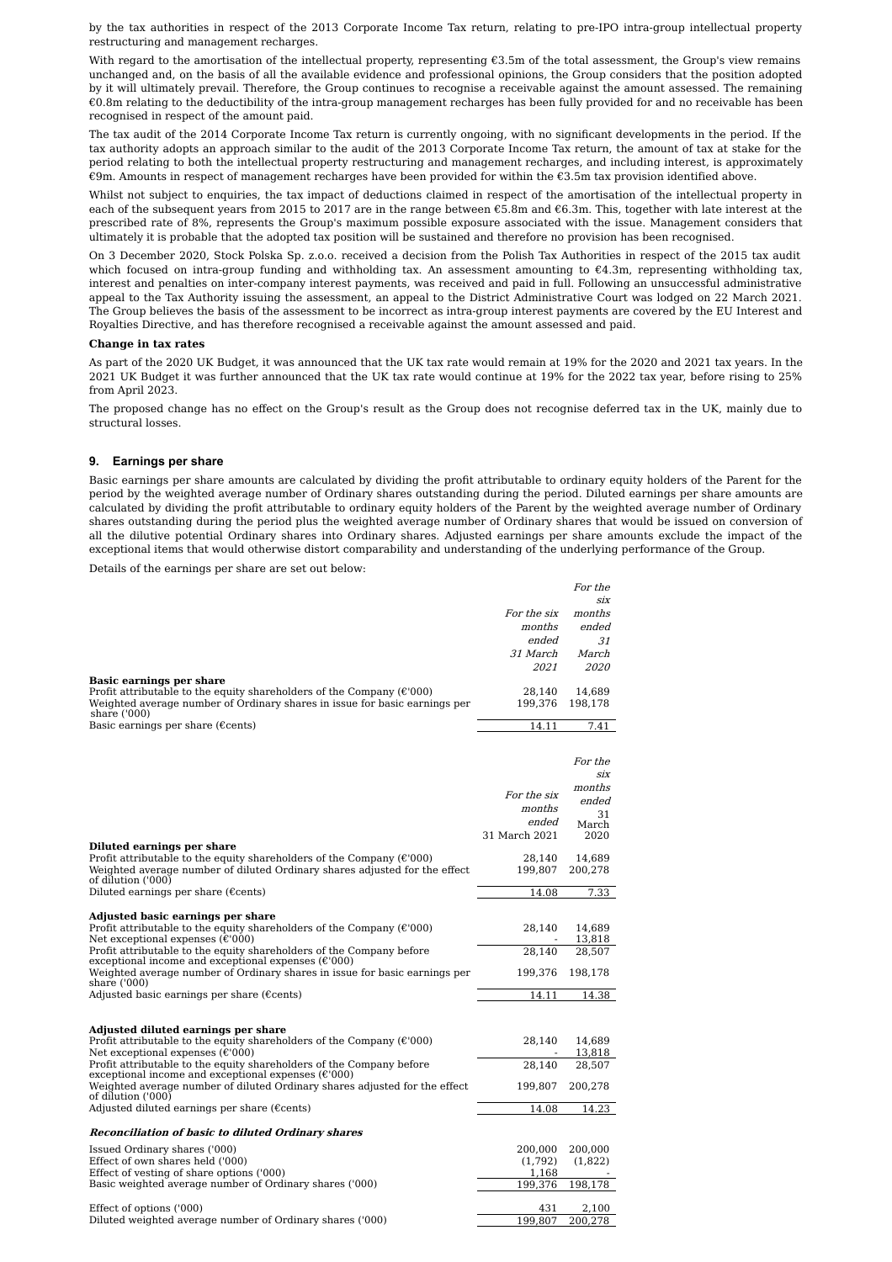by the tax authorities in respect of the 2013 Corporate Income Tax return, relating to pre-IPO intra-group intellectual property restructuring and management recharges.

With regard to the amortisation of the intellectual property, representing €3.5m of the total assessment, the Group's view remains unchanged and, on the basis of all the available evidence and professional opinions, the Group considers that the position adopted by it will ultimately prevail. Therefore, the Group continues to recognise a receivable against the amount assessed. The remaining  $\epsilon$ 0.8m relating to the deductibility of the intra-group management recharges has been fully provided for and no receivable has been recognised in respect of the amount paid.

The tax audit of the 2014 Corporate Income Tax return is currently ongoing, with no significant developments in the period. If the tax authority adopts an approach similar to the audit of the 2013 Corporate Income Tax return, the amount of tax at stake for the period relating to both the intellectual property restructuring and management recharges, and including interest, is approximately €9m. Amounts in respect of management recharges have been provided for within the €3.5m tax provision identified above.

Whilst not subject to enquiries, the tax impact of deductions claimed in respect of the amortisation of the intellectual property in each of the subsequent years from 2015 to 2017 are in the range between €5.8m and €6.3m. This, together with late interest at the prescribed rate of 8%, represents the Group's maximum possible exposure associated with the issue. Management considers that ultimately it is probable that the adopted tax position will be sustained and therefore no provision has been recognised.

On 3 December 2020, Stock Polska Sp. z.o.o. received a decision from the Polish Tax Authorities in respect of the 2015 tax audit which focused on intra-group funding and withholding tax. An assessment amounting to  $\epsilon$ 4.3m, representing withholding tax, interest and penalties on inter-company interest payments, was received and paid in full. Following an unsuccessful administrative appeal to the Tax Authority issuing the assessment, an appeal to the District Administrative Court was lodged on 22 March 2021. The Group believes the basis of the assessment to be incorrect as intra-group interest payments are covered by the EU Interest and Royalties Directive, and has therefore recognised a receivable against the amount assessed and paid.

#### **Change in tax rates**

As part of the 2020 UK Budget, it was announced that the UK tax rate would remain at 19% for the 2020 and 2021 tax years. In the 2021 UK Budget it was further announced that the UK tax rate would continue at 19% for the 2022 tax year, before rising to 25% from April 2023.

The proposed change has no effect on the Group's result as the Group does not recognise deferred tax in the UK, mainly due to structural losses.

#### **9. Earnings per share**

Basic earnings per share amounts are calculated by dividing the profit attributable to ordinary equity holders of the Parent for the period by the weighted average number of Ordinary shares outstanding during the period. Diluted earnings per share amounts are calculated by dividing the profit attributable to ordinary equity holders of the Parent by the weighted average number of Ordinary shares outstanding during the period plus the weighted average number of Ordinary shares that would be issued on conversion of all the dilutive potential Ordinary shares into Ordinary shares. Adjusted earnings per share amounts exclude the impact of the exceptional items that would otherwise distort comparability and understanding of the underlying performance of the Group.

Details of the earnings per share are set out below:

| six<br>months<br>For the six<br>months<br>ended<br>ended<br>31<br>31 March<br>March<br><i>2021</i><br><i>2020</i><br><b>Basic earnings per share</b><br>Profit attributable to the equity shareholders of the Company ( $\mathcal{C}'$ 000)<br>28,140<br>14.689<br>Weighted average number of Ordinary shares in issue for basic earnings per<br>199,376<br>198,178<br>share $(000)$<br>Basic earnings per share ( $\epsilon$ cents)<br>7.41<br>14.11<br>For the<br>six<br>months<br>For the six<br>ended<br>months<br>31<br>ended<br>March<br>31 March 2021<br>2020<br>Diluted earnings per share<br>Profit attributable to the equity shareholders of the Company ( $\mathcal{E}'$ 000)<br>28,140<br>14,689<br>Weighted average number of diluted Ordinary shares adjusted for the effect<br>199,807<br>200,278<br>of dilution ('000)<br>Diluted earnings per share ( $\epsilon$ cents)<br>14.08<br>7.33<br>Adjusted basic earnings per share |
|-------------------------------------------------------------------------------------------------------------------------------------------------------------------------------------------------------------------------------------------------------------------------------------------------------------------------------------------------------------------------------------------------------------------------------------------------------------------------------------------------------------------------------------------------------------------------------------------------------------------------------------------------------------------------------------------------------------------------------------------------------------------------------------------------------------------------------------------------------------------------------------------------------------------------------------------------|
|                                                                                                                                                                                                                                                                                                                                                                                                                                                                                                                                                                                                                                                                                                                                                                                                                                                                                                                                                 |
|                                                                                                                                                                                                                                                                                                                                                                                                                                                                                                                                                                                                                                                                                                                                                                                                                                                                                                                                                 |
|                                                                                                                                                                                                                                                                                                                                                                                                                                                                                                                                                                                                                                                                                                                                                                                                                                                                                                                                                 |
|                                                                                                                                                                                                                                                                                                                                                                                                                                                                                                                                                                                                                                                                                                                                                                                                                                                                                                                                                 |
|                                                                                                                                                                                                                                                                                                                                                                                                                                                                                                                                                                                                                                                                                                                                                                                                                                                                                                                                                 |
|                                                                                                                                                                                                                                                                                                                                                                                                                                                                                                                                                                                                                                                                                                                                                                                                                                                                                                                                                 |
|                                                                                                                                                                                                                                                                                                                                                                                                                                                                                                                                                                                                                                                                                                                                                                                                                                                                                                                                                 |
|                                                                                                                                                                                                                                                                                                                                                                                                                                                                                                                                                                                                                                                                                                                                                                                                                                                                                                                                                 |
|                                                                                                                                                                                                                                                                                                                                                                                                                                                                                                                                                                                                                                                                                                                                                                                                                                                                                                                                                 |
|                                                                                                                                                                                                                                                                                                                                                                                                                                                                                                                                                                                                                                                                                                                                                                                                                                                                                                                                                 |
|                                                                                                                                                                                                                                                                                                                                                                                                                                                                                                                                                                                                                                                                                                                                                                                                                                                                                                                                                 |
|                                                                                                                                                                                                                                                                                                                                                                                                                                                                                                                                                                                                                                                                                                                                                                                                                                                                                                                                                 |
|                                                                                                                                                                                                                                                                                                                                                                                                                                                                                                                                                                                                                                                                                                                                                                                                                                                                                                                                                 |
|                                                                                                                                                                                                                                                                                                                                                                                                                                                                                                                                                                                                                                                                                                                                                                                                                                                                                                                                                 |
|                                                                                                                                                                                                                                                                                                                                                                                                                                                                                                                                                                                                                                                                                                                                                                                                                                                                                                                                                 |
|                                                                                                                                                                                                                                                                                                                                                                                                                                                                                                                                                                                                                                                                                                                                                                                                                                                                                                                                                 |
|                                                                                                                                                                                                                                                                                                                                                                                                                                                                                                                                                                                                                                                                                                                                                                                                                                                                                                                                                 |
|                                                                                                                                                                                                                                                                                                                                                                                                                                                                                                                                                                                                                                                                                                                                                                                                                                                                                                                                                 |
|                                                                                                                                                                                                                                                                                                                                                                                                                                                                                                                                                                                                                                                                                                                                                                                                                                                                                                                                                 |
|                                                                                                                                                                                                                                                                                                                                                                                                                                                                                                                                                                                                                                                                                                                                                                                                                                                                                                                                                 |
|                                                                                                                                                                                                                                                                                                                                                                                                                                                                                                                                                                                                                                                                                                                                                                                                                                                                                                                                                 |
|                                                                                                                                                                                                                                                                                                                                                                                                                                                                                                                                                                                                                                                                                                                                                                                                                                                                                                                                                 |
| Profit attributable to the equity shareholders of the Company ( $\mathcal{C}'$ 000)<br>28,140<br>14,689                                                                                                                                                                                                                                                                                                                                                                                                                                                                                                                                                                                                                                                                                                                                                                                                                                         |
| Net exceptional expenses $(\text{\ensuremath{\mathfrak{E}}}\,000)$<br>13,818                                                                                                                                                                                                                                                                                                                                                                                                                                                                                                                                                                                                                                                                                                                                                                                                                                                                    |
| Profit attributable to the equity shareholders of the Company before<br>28,140<br>28,507<br>exceptional income and exceptional expenses $(\text{\ensuremath{\mathfrak{e}}\xspace} 000)$                                                                                                                                                                                                                                                                                                                                                                                                                                                                                                                                                                                                                                                                                                                                                         |
| Weighted average number of Ordinary shares in issue for basic earnings per<br>199,376<br>198,178                                                                                                                                                                                                                                                                                                                                                                                                                                                                                                                                                                                                                                                                                                                                                                                                                                                |
| share ('000)                                                                                                                                                                                                                                                                                                                                                                                                                                                                                                                                                                                                                                                                                                                                                                                                                                                                                                                                    |
| Adjusted basic earnings per share ( $\epsilon$ cents)<br>14.11<br>14.38                                                                                                                                                                                                                                                                                                                                                                                                                                                                                                                                                                                                                                                                                                                                                                                                                                                                         |
|                                                                                                                                                                                                                                                                                                                                                                                                                                                                                                                                                                                                                                                                                                                                                                                                                                                                                                                                                 |
| Adjusted diluted earnings per share                                                                                                                                                                                                                                                                                                                                                                                                                                                                                                                                                                                                                                                                                                                                                                                                                                                                                                             |
| Profit attributable to the equity shareholders of the Company ( $\mathcal{E}'$ 000)<br>28,140<br>14,689                                                                                                                                                                                                                                                                                                                                                                                                                                                                                                                                                                                                                                                                                                                                                                                                                                         |
| Net exceptional expenses $(\text{\ensuremath{\mathfrak{E}}\xspace} 000)$<br>13,818<br>Profit attributable to the equity shareholders of the Company before<br>28,140<br>28,507                                                                                                                                                                                                                                                                                                                                                                                                                                                                                                                                                                                                                                                                                                                                                                  |
| exceptional income and exceptional expenses $(\text{\ensuremath{\mathfrak{e}^{\scriptscriptstyle\prime}}}000)$                                                                                                                                                                                                                                                                                                                                                                                                                                                                                                                                                                                                                                                                                                                                                                                                                                  |
| Weighted average number of diluted Ordinary shares adjusted for the effect<br>199,807<br>200,278<br>of dilution ('000)                                                                                                                                                                                                                                                                                                                                                                                                                                                                                                                                                                                                                                                                                                                                                                                                                          |
| Adjusted diluted earnings per share ( $\epsilon$ cents)<br>14.08<br>14.23                                                                                                                                                                                                                                                                                                                                                                                                                                                                                                                                                                                                                                                                                                                                                                                                                                                                       |
| <b>Reconciliation of basic to diluted Ordinary shares</b>                                                                                                                                                                                                                                                                                                                                                                                                                                                                                                                                                                                                                                                                                                                                                                                                                                                                                       |
|                                                                                                                                                                                                                                                                                                                                                                                                                                                                                                                                                                                                                                                                                                                                                                                                                                                                                                                                                 |
| Issued Ordinary shares ('000)<br>200,000<br>200,000<br>Effect of own shares held ('000)<br>(1,792)<br>(1,822)                                                                                                                                                                                                                                                                                                                                                                                                                                                                                                                                                                                                                                                                                                                                                                                                                                   |
| Effect of vesting of share options ('000)<br>1,168                                                                                                                                                                                                                                                                                                                                                                                                                                                                                                                                                                                                                                                                                                                                                                                                                                                                                              |
| Basic weighted average number of Ordinary shares ('000)<br>199,376<br>198,178                                                                                                                                                                                                                                                                                                                                                                                                                                                                                                                                                                                                                                                                                                                                                                                                                                                                   |
|                                                                                                                                                                                                                                                                                                                                                                                                                                                                                                                                                                                                                                                                                                                                                                                                                                                                                                                                                 |
| Effect of options ('000)<br>431<br>2,100<br>Diluted weighted average number of Ordinary shares ('000)<br>199,807<br>200,278                                                                                                                                                                                                                                                                                                                                                                                                                                                                                                                                                                                                                                                                                                                                                                                                                     |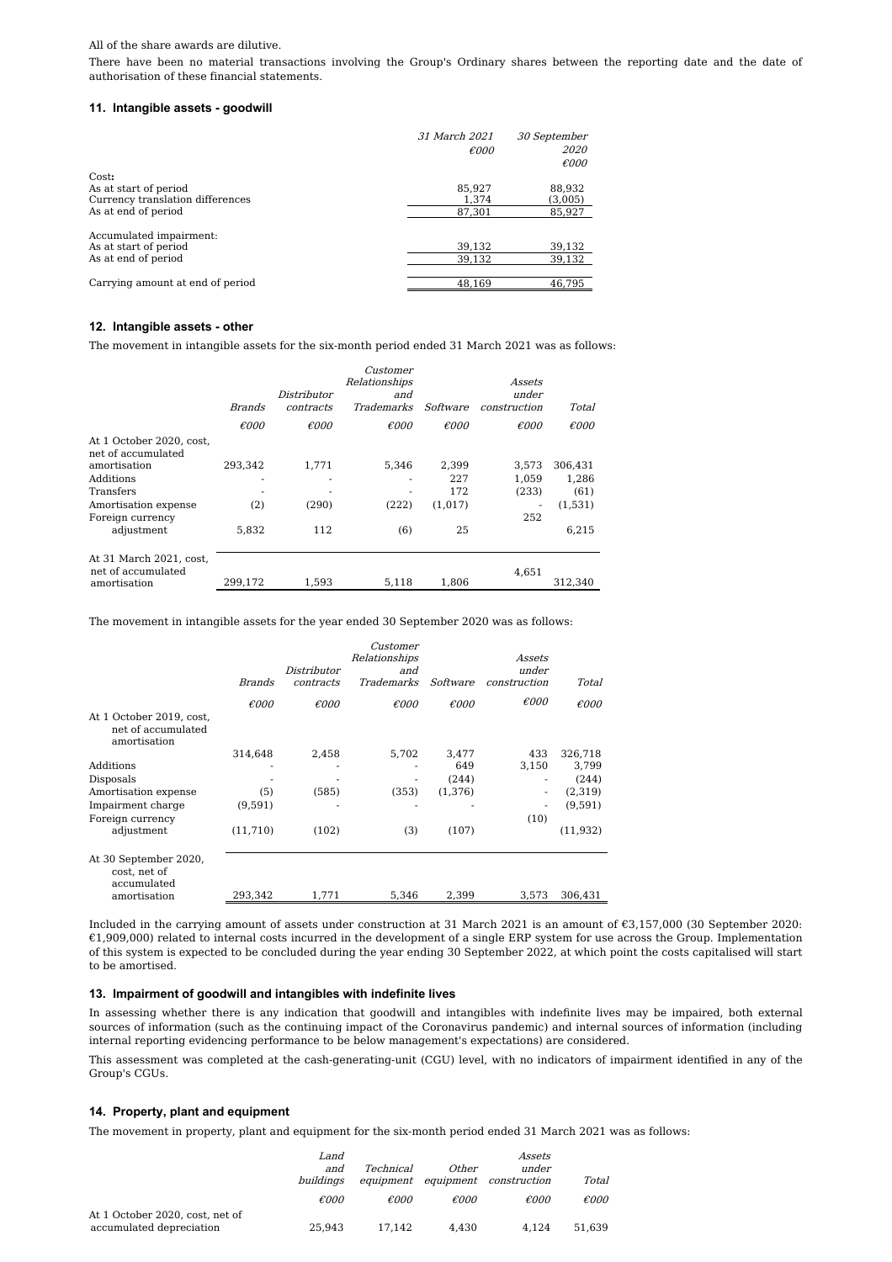#### All of the share awards are dilutive.

There have been no material transactions involving the Group's Ordinary shares between the reporting date and the date of authorisation of these financial statements.

#### **11. Intangible assets - goodwill**

|                                                                                           | 31 March 2021<br>$\epsilon$ 000 | 30 September<br><i>2020</i><br>$\epsilon$ 000 |
|-------------------------------------------------------------------------------------------|---------------------------------|-----------------------------------------------|
| Cost:<br>As at start of period<br>Currency translation differences<br>As at end of period | 85.927<br>1.374                 | 88.932<br>(3,005)                             |
| Accumulated impairment:                                                                   | 87.301                          | 85,927                                        |
| As at start of period                                                                     | 39,132                          | 39,132                                        |
| As at end of period                                                                       | 39.132                          | 39,132                                        |
| Carrying amount at end of period                                                          | 48,169                          | 46,795                                        |

#### **12. Intangible assets - other**

The movement in intangible assets for the six-month period ended 31 March 2021 was as follows:

|                                                | <b>Brands</b>  | Distributor<br>contracts | Customer<br>Relationships<br>and<br><i>Trademarks</i> | Software       | Assets<br>under<br>construction | Total          |
|------------------------------------------------|----------------|--------------------------|-------------------------------------------------------|----------------|---------------------------------|----------------|
|                                                | $\epsilon$ 000 | $\epsilon$ 000           | $\epsilon$ 000                                        | $\epsilon$ 000 | €000                            | $\epsilon$ 000 |
| At 1 October 2020, cost,<br>net of accumulated |                |                          |                                                       |                |                                 |                |
| amortisation                                   | 293,342        | 1,771                    | 5.346                                                 | 2.399          | 3.573                           | 306,431        |
| Additions                                      |                |                          |                                                       | 227            | 1.059                           | 1.286          |
| Transfers                                      |                |                          |                                                       | 172            | (233)                           | (61)           |
| Amortisation expense                           | (2)            | (290)                    | (222)                                                 | (1,017)        |                                 | (1,531)        |
| Foreign currency                               |                |                          |                                                       |                | 252                             |                |
| adjustment                                     | 5.832          | 112                      | (6)                                                   | 25             |                                 | 6,215          |
| At 31 March 2021, cost,<br>net of accumulated  |                |                          |                                                       |                | 4,651                           |                |
| amortisation                                   | 299.172        | 1.593                    | 5,118                                                 | 1,806          |                                 | 312,340        |
|                                                |                |                          |                                                       |                |                                 |                |

The movement in intangible assets for the year ended 30 September 2020 was as follows:

|                                                                | <i>Brands</i>  | Distributor<br>contracts | Customer<br>Relationships<br>and<br><b>Trademarks</b> | Software       | Assets<br>under<br>construction | Total          |
|----------------------------------------------------------------|----------------|--------------------------|-------------------------------------------------------|----------------|---------------------------------|----------------|
|                                                                | $\epsilon$ 000 | $\epsilon$ 000           | $\epsilon$ 000                                        | $\epsilon$ 000 | $\epsilon$ 000                  | $\epsilon$ 000 |
| At 1 October 2019, cost,<br>net of accumulated<br>amortisation |                |                          |                                                       |                |                                 |                |
|                                                                | 314,648        | 2,458                    | 5,702                                                 | 3,477          | 433                             | 326,718        |
| Additions                                                      |                |                          |                                                       | 649            | 3,150                           | 3,799          |
| Disposals                                                      |                |                          |                                                       | (244)          | ۰                               | (244)          |
| Amortisation expense                                           | (5)            | (585)                    | (353)                                                 | (1,376)        |                                 | (2,319)        |
| Impairment charge                                              | (9,591)        |                          |                                                       |                |                                 | (9,591)        |
| Foreign currency                                               |                |                          |                                                       |                | (10)                            |                |
| adjustment                                                     | (11,710)       | (102)                    | (3)                                                   | (107)          |                                 | (11, 932)      |
| At 30 September 2020,<br>cost, net of<br>accumulated           |                |                          |                                                       |                |                                 |                |
| amortisation                                                   | 293,342        | 1,771                    | 5,346                                                 | 2,399          | 3,573                           | 306,431        |

Included in the carrying amount of assets under construction at 31 March 2021 is an amount of €3,157,000 (30 September 2020: €1,909,000) related to internal costs incurred in the development of a single ERP system for use across the Group. Implementation of this system is expected to be concluded during the year ending 30 September 2022, at which point the costs capitalised will start to be amortised.

#### **13. Impairment of goodwill and intangibles with indefinite lives**

In assessing whether there is any indication that goodwill and intangibles with indefinite lives may be impaired, both external sources of information (such as the continuing impact of the Coronavirus pandemic) and internal sources of information (including internal reporting evidencing performance to be below management's expectations) are considered.

This assessment was completed at the cash-generating-unit (CGU) level, with no indicators of impairment identified in any of the Group's CGUs.

#### **14. Property, plant and equipment**

The movement in property, plant and equipment for the six-month period ended 31 March 2021 was as follows:

|                                                             | <i>Land</i><br>and<br>buildinas | <i>Technical</i><br>equipment | Other<br>equipment | Assets<br>under<br>construction | Total          |
|-------------------------------------------------------------|---------------------------------|-------------------------------|--------------------|---------------------------------|----------------|
|                                                             | $\epsilon$ 000                  | $\epsilon$ 000                | $\epsilon$ 000     | €000                            | $\epsilon$ 000 |
| At 1 October 2020, cost, net of<br>accumulated depreciation | 25.943                          | 17.142                        | 4.430              | 4.124                           | 51.639         |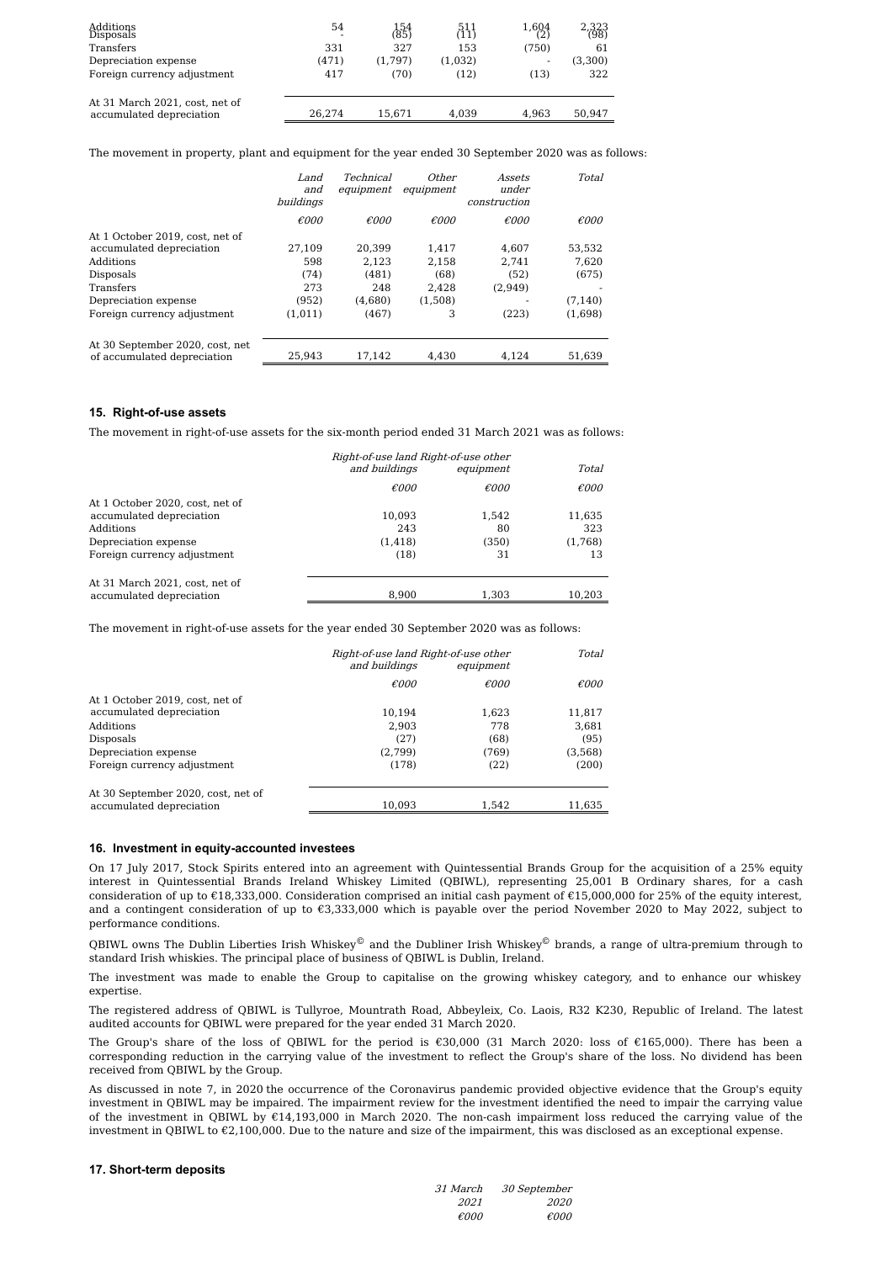| Additions<br>Disposals                                     | 54     | 154<br>(85) | 511<br>111 | $\frac{1,604}{2}$ | 2,323<br>(98) |
|------------------------------------------------------------|--------|-------------|------------|-------------------|---------------|
| Transfers                                                  | 331    | 327         | 153        | (750)             | 61            |
| Depreciation expense                                       | (471)  | (1,797)     | (1,032)    | -                 | (3,300)       |
| Foreign currency adjustment                                | 417    | (70)        | (12)       | (13)              | 322           |
| At 31 March 2021, cost, net of<br>accumulated depreciation | 26.274 | 15.671      | 4.039      | 4.963             | 50.947        |

The movement in property, plant and equipment for the year ended 30 September 2020 was as follows:

|                                                                | Land<br>and<br>buildings | Technical<br>equipment | Other<br>equipment | Assets<br>under<br>construction | Total          |
|----------------------------------------------------------------|--------------------------|------------------------|--------------------|---------------------------------|----------------|
|                                                                | $\epsilon$ 000           | $\epsilon$ 000         | $\epsilon$ 000     | $\epsilon$ 000                  | $\epsilon$ 000 |
| At 1 October 2019, cost, net of                                |                          |                        |                    |                                 |                |
| accumulated depreciation                                       | 27.109                   | 20.399                 | 1.417              | 4.607                           | 53.532         |
| Additions                                                      | 598                      | 2.123                  | 2.158              | 2.741                           | 7.620          |
| Disposals                                                      | (74)                     | (481)                  | (68)               | (52)                            | (675)          |
| Transfers                                                      | 273                      | 248                    | 2.428              | (2,949)                         |                |
| Depreciation expense                                           | (952)                    | (4.680)                | (1,508)            |                                 | (7, 140)       |
| Foreign currency adjustment                                    | (1,011)                  | (467)                  | 3                  | (223)                           | (1,698)        |
| At 30 September 2020, cost, net<br>of accumulated depreciation | 25,943                   | 17,142                 | 4.430              | 4.124                           | 51,639         |

#### **15. Right-of-use assets**

The movement in right-of-use assets for the six-month period ended 31 March 2021 was as follows:

|                                 | Right-of-use land Right-of-use other |                |                |  |
|---------------------------------|--------------------------------------|----------------|----------------|--|
|                                 | and buildings                        | equipment      | Total          |  |
|                                 | $\epsilon$ 000                       | $\epsilon$ 000 | $\epsilon$ 000 |  |
| At 1 October 2020, cost, net of |                                      |                |                |  |
| accumulated depreciation        | 10.093                               | 1.542          | 11,635         |  |
| Additions                       | 243                                  | 80             | 323            |  |
| Depreciation expense            | (1, 418)                             | (350)          | (1,768)        |  |
| Foreign currency adjustment     | (18)                                 | 31             | 13             |  |
| At 31 March 2021, cost, net of  |                                      |                |                |  |
| accumulated depreciation        | 8.900                                | 1.303          | 10.203         |  |

The movement in right-of-use assets for the year ended 30 September 2020 was as follows:

|                                    | Right-of-use land Right-of-use other<br>and buildings<br>equipment |                | Total          |
|------------------------------------|--------------------------------------------------------------------|----------------|----------------|
|                                    | €000                                                               | $\epsilon$ 000 | $\epsilon$ 000 |
| At 1 October 2019, cost, net of    |                                                                    |                |                |
| accumulated depreciation           | 10.194                                                             | 1.623          | 11,817         |
| Additions                          | 2.903                                                              | 778            | 3.681          |
| Disposals                          | (27)                                                               | (68)           | (95)           |
| Depreciation expense               | (2,799)                                                            | (769)          | (3,568)        |
| Foreign currency adjustment        | (178)                                                              | (22)           | (200)          |
| At 30 September 2020, cost, net of |                                                                    |                |                |
| accumulated depreciation           | 10.093                                                             | 1.542          | 11.635         |

#### **16. Investment in equity-accounted investees**

On 17 July 2017, Stock Spirits entered into an agreement with Quintessential Brands Group for the acquisition of a 25% equity interest in Quintessential Brands Ireland Whiskey Limited (QBIWL), representing 25,001 B Ordinary shares, for a cash consideration of up to  $\epsilon$ 18,333,000. Consideration comprised an initial cash payment of  $\epsilon$ 15,000,000 for 25% of the equity interest, and a contingent consideration of up to €3,333,000 which is payable over the period November 2020 to May 2022, subject to performance conditions.

OBIWL owns The Dublin Liberties Irish Whiskey<sup>®</sup> and the Dubliner Irish Whiskey<sup>®</sup> brands, a range of ultra-premium through to standard Irish whiskies. The principal place of business of QBIWL is Dublin, Ireland.

The investment was made to enable the Group to capitalise on the growing whiskey category, and to enhance our whiskey expertise.

The registered address of QBIWL is Tullyroe, Mountrath Road, Abbeyleix, Co. Laois, R32 K230, Republic of Ireland. The latest audited accounts for QBIWL were prepared for the year ended 31 March 2020.

The Group's share of the loss of QBIWL for the period is €30,000 (31 March 2020: loss of €165,000). There has been a corresponding reduction in the carrying value of the investment to reflect the Group's share of the loss. No dividend has been received from QBIWL by the Group.

As discussed in note 7, in 2020 the occurrence of the Coronavirus pandemic provided objective evidence that the Group's equity investment in QBIWL may be impaired. The impairment review for the investment identified the need to impair the carrying value of the investment in QBIWL by €14,193,000 in March 2020. The non-cash impairment loss reduced the carrying value of the investment in QBIWL to €2,100,000. Due to the nature and size of the impairment, this was disclosed as an exceptional expense.

#### **17. Short-term deposits**

| <i>31 March</i> | 30 September   |
|-----------------|----------------|
| 2021            | 2020           |
| €000            | $\epsilon$ 000 |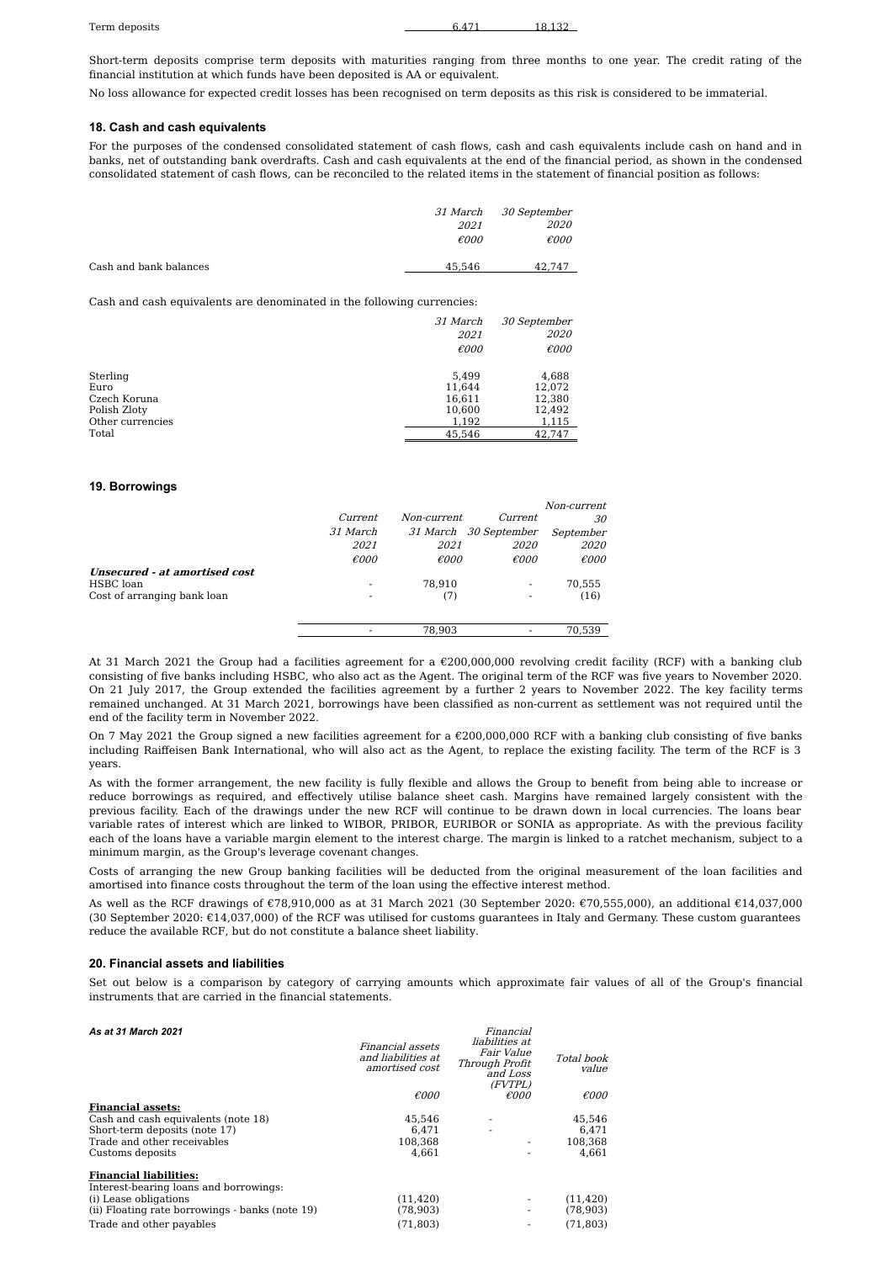Short-term deposits comprise term deposits with maturities ranging from three months to one year. The credit rating of the financial institution at which funds have been deposited is AA or equivalent.

No loss allowance for expected credit losses has been recognised on term deposits as this risk is considered to be immaterial.

#### **18. Cash and cash equivalents**

For the purposes of the condensed consolidated statement of cash flows, cash and cash equivalents include cash on hand and in banks, net of outstanding bank overdrafts. Cash and cash equivalents at the end of the financial period, as shown in the condensed consolidated statement of cash flows, can be reconciled to the related items in the statement of financial position as follows:

|                        | <i>31 March</i> | 30 September   |
|------------------------|-----------------|----------------|
|                        | <i>2021</i>     | <i>2020</i>    |
|                        | $\epsilon$ 000  | $\epsilon$ 000 |
| Cash and bank balances | 45.546          | 42.747         |

Cash and cash equivalents are denominated in the following currencies:

|                  | 31 March       | 30 September   |
|------------------|----------------|----------------|
|                  | 2021           | 2020           |
|                  | $\epsilon$ 000 | $\epsilon$ 000 |
| Sterling         | 5,499          | 4,688          |
| Euro             | 11,644         | 12,072         |
| Czech Koruna     | 16,611         | 12,380         |
| Polish Zloty     | 10,600         | 12,492         |
| Other currencies | 1,192          | 1,115          |
| Total            | 45,546         | 42.747         |

#### **19. Borrowings**

|                               |                          |                |                       | Non-current    |
|-------------------------------|--------------------------|----------------|-----------------------|----------------|
|                               | Current                  | Non-current    | Current               | 30             |
|                               | 31 March                 |                | 31 March 30 September | September      |
|                               | 2021                     | 2021           | <i>2020</i>           | 2020           |
|                               | $\epsilon$ 000           | $\epsilon$ 000 | $\epsilon$ 000        | $\epsilon$ 000 |
| Unsecured - at amortised cost |                          |                |                       |                |
| HSBC loan                     | $\overline{\phantom{a}}$ | 78.910         | -                     | 70.555         |
| Cost of arranging bank loan   | $\overline{\phantom{a}}$ | (7)            | -                     | (16)           |
|                               |                          |                |                       |                |
|                               |                          | 78.903         |                       | 70.539         |

At 31 March 2021 the Group had a facilities agreement for a €200,000,000 revolving credit facility (RCF) with a banking club consisting of five banks including HSBC, who also act as the Agent. The original term of the RCF was five years to November 2020. On 21 July 2017, the Group extended the facilities agreement by a further 2 years to November 2022. The key facility terms remained unchanged. At 31 March 2021, borrowings have been classified as non-current as settlement was not required until the end of the facility term in November 2022.

On 7 May 2021 the Group signed a new facilities agreement for a  $\epsilon$ 200,000,000 RCF with a banking club consisting of five banks including Raiffeisen Bank International, who will also act as the Agent, to replace the existing facility. The term of the RCF is 3 years.

As with the former arrangement, the new facility is fully flexible and allows the Group to benefit from being able to increase or reduce borrowings as required, and effectively utilise balance sheet cash. Margins have remained largely consistent with the previous facility. Each of the drawings under the new RCF will continue to be drawn down in local currencies. The loans bear variable rates of interest which are linked to WIBOR, PRIBOR, EURIBOR or SONIA as appropriate. As with the previous facility each of the loans have a variable margin element to the interest charge. The margin is linked to a ratchet mechanism, subject to a minimum margin, as the Group's leverage covenant changes.

Costs of arranging the new Group banking facilities will be deducted from the original measurement of the loan facilities and amortised into finance costs throughout the term of the loan using the effective interest method.

As well as the RCF drawings of €78,910,000 as at 31 March 2021 (30 September 2020: €70,555,000), an additional €14,037,000 (30 September 2020:  $\epsilon$ 14,037,000) of the RCF was utilised for customs quarantees in Italy and Germany. These custom quarantees reduce the available RCF, but do not constitute a balance sheet liability.

#### **20. Financial assets and liabilities**

Set out below is a comparison by category of carrying amounts which approximate fair values of all of the Group's financial instruments that are carried in the financial statements.

Financial

*As at 31 March 2021*

| As at st march for t                            | Financial assets<br>and liabilities at<br>amortised cost | , ,,,,,,,,,,,<br>liabilities at<br><i>Fair Value</i><br>Through Profit<br>and Loss<br>(FVTPL) | Total book<br><i>value</i> |
|-------------------------------------------------|----------------------------------------------------------|-----------------------------------------------------------------------------------------------|----------------------------|
|                                                 | $\epsilon$ 000                                           | $\epsilon$ 000                                                                                | $\epsilon$ 000             |
| <b>Financial assets:</b>                        |                                                          |                                                                                               |                            |
| Cash and cash equivalents (note 18)             | 45,546                                                   |                                                                                               | 45,546                     |
| Short-term deposits (note 17)                   | 6.471                                                    | $\overline{\phantom{a}}$                                                                      | 6.471                      |
| Trade and other receivables                     | 108.368                                                  |                                                                                               | 108.368                    |
| Customs deposits                                | 4.661                                                    |                                                                                               | 4.661                      |
| <b>Financial liabilities:</b>                   |                                                          |                                                                                               |                            |
| Interest-bearing loans and borrowings:          |                                                          |                                                                                               |                            |
| (i) Lease obligations                           | (11, 420)                                                |                                                                                               | (11, 420)                  |
| (ii) Floating rate borrowings - banks (note 19) | (78, 903)                                                |                                                                                               | (78, 903)                  |
| Trade and other pavables                        | (71.803)                                                 |                                                                                               | (71.803)                   |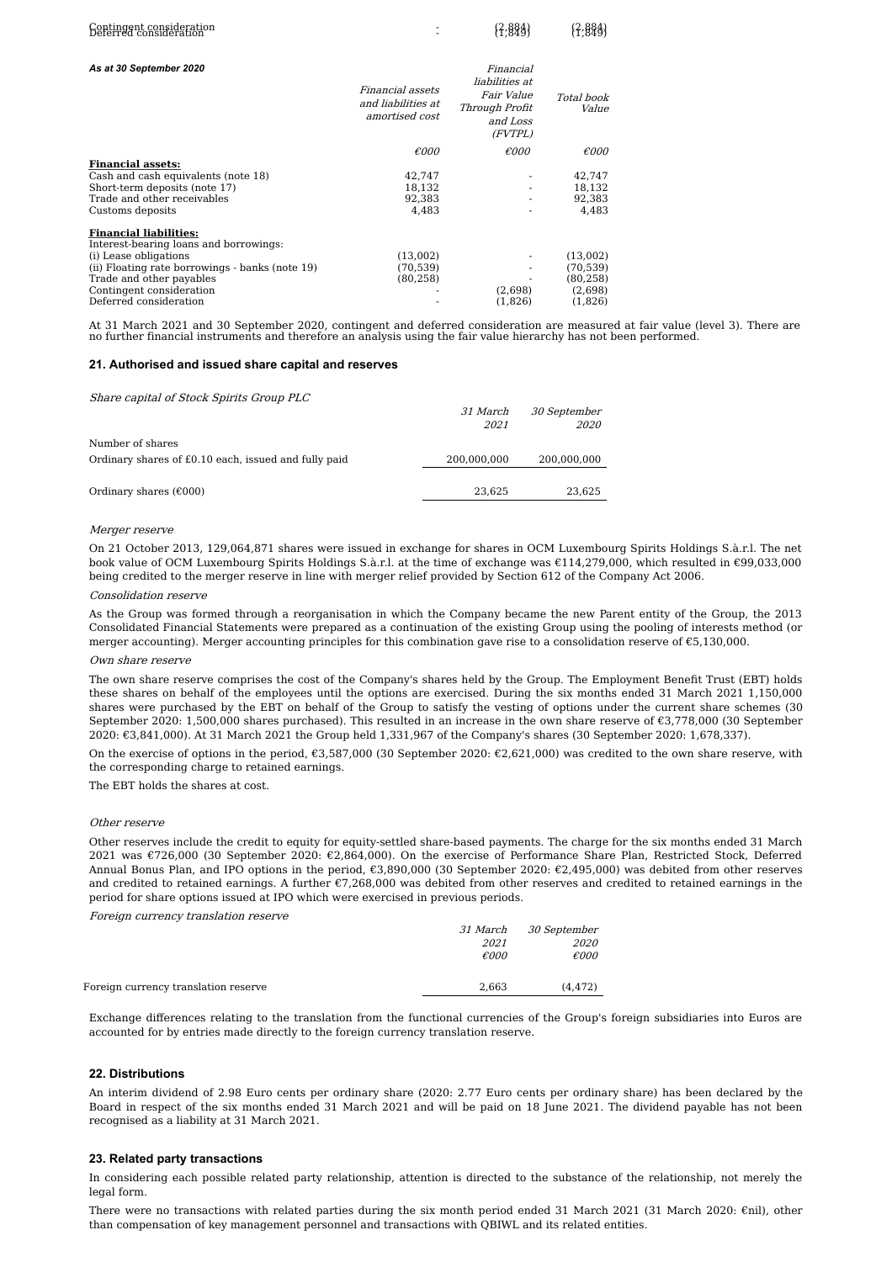| Contingent consideration<br>Deferred consideration                                                                                                                                                   |                                                          | $\{7,884\}$                                                                        | $\{7,884\}$                                              |
|------------------------------------------------------------------------------------------------------------------------------------------------------------------------------------------------------|----------------------------------------------------------|------------------------------------------------------------------------------------|----------------------------------------------------------|
| As at 30 September 2020                                                                                                                                                                              | Financial assets<br>and liabilities at<br>amortised cost | Financial<br>liabilities at<br>Fair Value<br>Through Profit<br>and Loss<br>(FVTPL) | Total book<br>Value                                      |
|                                                                                                                                                                                                      | $\epsilon$ 000                                           | $\epsilon$ 000                                                                     | $\epsilon$ 000                                           |
| <b>Financial assets:</b><br>Cash and cash equivalents (note 18)<br>Short-term deposits (note 17)<br>Trade and other receivables<br>Customs deposits                                                  | 42,747<br>18,132<br>92,383<br>4,483                      |                                                                                    | 42,747<br>18,132<br>92,383<br>4,483                      |
| <b>Financial liabilities:</b>                                                                                                                                                                        |                                                          |                                                                                    |                                                          |
| Interest-bearing loans and borrowings:<br>(i) Lease obligations<br>(ii) Floating rate borrowings - banks (note 19)<br>Trade and other payables<br>Contingent consideration<br>Deferred consideration | (13,002)<br>(70, 539)<br>(80, 258)                       | (2,698)<br>(1,826)                                                                 | (13,002)<br>(70, 539)<br>(80, 258)<br>(2,698)<br>(1,826) |

At 31 March 2021 and 30 September 2020, contingent and deferred consideration are measured at fair value (level 3). There are no further financial instruments and therefore an analysis using the fair value hierarchy has not been performed.

#### **21. Authorised and issued share capital and reserves**

Share capital of Stock Spirits Group PLC

|                                                      | <i>31 March</i> | 30 September |
|------------------------------------------------------|-----------------|--------------|
|                                                      | 2021            | <i>2020</i>  |
| Number of shares                                     |                 |              |
| Ordinary shares of £0.10 each, issued and fully paid | 200,000,000     | 200,000,000  |
|                                                      |                 |              |
| Ordinary shares $(\text{\textsterling}000)$          | 23.625          | 23.625       |

#### Merger reserve

On 21 October 2013, 129,064,871 shares were issued in exchange for shares in OCM Luxembourg Spirits Holdings S.à.r.l. The net book value of OCM Luxembourg Spirits Holdings S.à.r.l. at the time of exchange was €114,279,000, which resulted in €99,033,000 being credited to the merger reserve in line with merger relief provided by Section 612 of the Company Act 2006.

#### Consolidation reserve

As the Group was formed through a reorganisation in which the Company became the new Parent entity of the Group, the 2013 Consolidated Financial Statements were prepared as a continuation of the existing Group using the pooling of interests method (or merger accounting). Merger accounting principles for this combination gave rise to a consolidation reserve of €5,130,000.

#### Own share reserve

The own share reserve comprises the cost of the Company's shares held by the Group. The Employment Benefit Trust (EBT) holds these shares on behalf of the employees until the options are exercised. During the six months ended 31 March 2021 1,150,000 shares were purchased by the EBT on behalf of the Group to satisfy the vesting of options under the current share schemes (30 September 2020: 1,500,000 shares purchased). This resulted in an increase in the own share reserve of €3,778,000 (30 September 2020: €3,841,000). At 31 March 2021 the Group held 1,331,967 of the Company's shares (30 September 2020: 1,678,337).

On the exercise of options in the period,  $\epsilon$ 3,587,000 (30 September 2020:  $\epsilon$ 2,621,000) was credited to the own share reserve, with the corresponding charge to retained earnings.

The EBT holds the shares at cost.

#### Other reserve

Other reserves include the credit to equity for equity-settled share-based payments. The charge for the six months ended 31 March 2021 was €726,000 (30 September 2020: €2,864,000). On the exercise of Performance Share Plan, Restricted Stock, Deferred Annual Bonus Plan, and IPO options in the period, €3,890,000 (30 September 2020: €2,495,000) was debited from other reserves and credited to retained earnings. A further €7,268,000 was debited from other reserves and credited to retained earnings in the period for share options issued at IPO which were exercised in previous periods.

Foreign currency translation reserve

|                                      |       | 31 March 30 September |
|--------------------------------------|-------|-----------------------|
|                                      | 2021  | 2020                  |
|                                      | €000  | $\epsilon$ 000        |
|                                      |       |                       |
| Foreign currency translation reserve | 2.663 | (4.472)               |

Exchange differences relating to the translation from the functional currencies of the Group's foreign subsidiaries into Euros are accounted for by entries made directly to the foreign currency translation reserve.

#### **22. Distributions**

An interim dividend of 2.98 Euro cents per ordinary share (2020: 2.77 Euro cents per ordinary share) has been declared by the Board in respect of the six months ended 31 March 2021 and will be paid on 18 June 2021. The dividend payable has not been recognised as a liability at 31 March 2021.

#### **23. Related party transactions**

In considering each possible related party relationship, attention is directed to the substance of the relationship, not merely the legal form.

There were no transactions with related parties during the six month period ended 31 March 2021 (31 March 2020: €nil), other than compensation of key management personnel and transactions with QBIWL and its related entities.